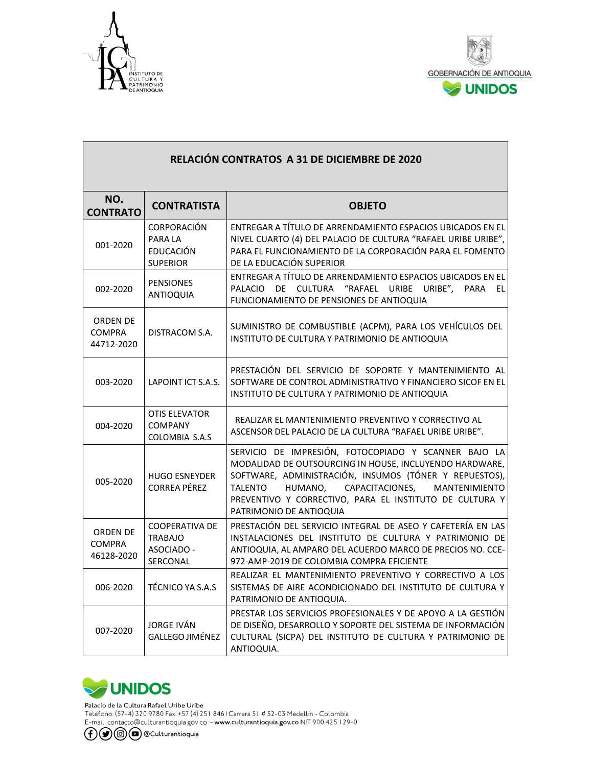

Г



٦

| RELACIÓN CONTRATOS A 31 DE DICIEMBRE DE 2020 |                                                                      |                                                                                                                                                                                                                                                                                                                                  |
|----------------------------------------------|----------------------------------------------------------------------|----------------------------------------------------------------------------------------------------------------------------------------------------------------------------------------------------------------------------------------------------------------------------------------------------------------------------------|
| NO.<br><b>CONTRATO</b>                       | <b>CONTRATISTA</b>                                                   | <b>OBJETO</b>                                                                                                                                                                                                                                                                                                                    |
| 001-2020                                     | <b>CORPORACIÓN</b><br>PARA LA<br><b>EDUCACIÓN</b><br><b>SUPERIOR</b> | ENTREGAR A TÍTULO DE ARRENDAMIENTO ESPACIOS UBICADOS EN EL<br>NIVEL CUARTO (4) DEL PALACIO DE CULTURA "RAFAEL URIBE URIBE",<br>PARA EL FUNCIONAMIENTO DE LA CORPORACIÓN PARA EL FOMENTO<br>DE LA EDUCACIÓN SUPERIOR                                                                                                              |
| 002-2020                                     | <b>PENSIONES</b><br><b>ANTIOQUIA</b>                                 | ENTREGAR A TÍTULO DE ARRENDAMIENTO ESPACIOS UBICADOS EN EL<br>PALACIO DE CULTURA "RAFAEL URIBE URIBE",<br><b>PARA</b><br>EL<br>FUNCIONAMIENTO DE PENSIONES DE ANTIOQUIA                                                                                                                                                          |
| ORDEN DE<br><b>COMPRA</b><br>44712-2020      | DISTRACOM S.A.                                                       | SUMINISTRO DE COMBUSTIBLE (ACPM), PARA LOS VEHÍCULOS DEL<br>INSTITUTO DE CULTURA Y PATRIMONIO DE ANTIOQUIA                                                                                                                                                                                                                       |
| 003-2020                                     | LAPOINT ICT S.A.S.                                                   | PRESTACIÓN DEL SERVICIO DE SOPORTE Y MANTENIMIENTO AL<br>SOFTWARE DE CONTROL ADMINISTRATIVO Y FINANCIERO SICOF EN EL<br>INSTITUTO DE CULTURA Y PATRIMONIO DE ANTIOQUIA                                                                                                                                                           |
| 004-2020                                     | OTIS ELEVATOR<br><b>COMPANY</b><br>COLOMBIA S.A.S                    | REALIZAR EL MANTENIMIENTO PREVENTIVO Y CORRECTIVO AL<br>ASCENSOR DEL PALACIO DE LA CULTURA "RAFAEL URIBE URIBE".                                                                                                                                                                                                                 |
| 005-2020                                     | <b>HUGO ESNEYDER</b><br><b>CORREA PÉREZ</b>                          | SERVICIO DE IMPRESIÓN, FOTOCOPIADO Y SCANNER BAJO LA<br>MODALIDAD DE OUTSOURCING IN HOUSE, INCLUYENDO HARDWARE,<br>SOFTWARE, ADMINISTRACIÓN, INSUMOS (TÓNER Y REPUESTOS),<br>CAPACITACIONES,<br><b>TALENTO</b><br>HUMANO,<br>MANTENIMIENTO<br>PREVENTIVO Y CORRECTIVO, PARA EL INSTITUTO DE CULTURA Y<br>PATRIMONIO DE ANTIOQUIA |
| ORDEN DE<br><b>COMPRA</b><br>46128-2020      | <b>COOPERATIVA DE</b><br><b>TRABAJO</b><br>ASOCIADO -<br>SERCONAL    | PRESTACIÓN DEL SERVICIO INTEGRAL DE ASEO Y CAFETERÍA EN LAS<br>INSTALACIONES DEL INSTITUTO DE CULTURA Y PATRIMONIO DE<br>ANTIOQUIA, AL AMPARO DEL ACUERDO MARCO DE PRECIOS NO. CCE-<br>972-AMP-2019 DE COLOMBIA COMPRA EFICIENTE                                                                                                 |
| 006-2020                                     | TÉCNICO YA S.A.S                                                     | REALIZAR EL MANTENIMIENTO PREVENTIVO Y CORRECTIVO A LOS<br>SISTEMAS DE AIRE ACONDICIONADO DEL INSTITUTO DE CULTURA Y<br>PATRIMONIO DE ANTIOQUIA.                                                                                                                                                                                 |
| 007-2020                                     | JORGE IVÁN<br>GALLEGO JIMÉNEZ                                        | PRESTAR LOS SERVICIOS PROFESIONALES Y DE APOYO A LA GESTIÓN<br>DE DISEÑO, DESARROLLO Y SOPORTE DEL SISTEMA DE INFORMACIÓN<br>CULTURAL (SICPA) DEL INSTITUTO DE CULTURA Y PATRIMONIO DE<br>ANTIOQUIA.                                                                                                                             |

## **UNIDOS**

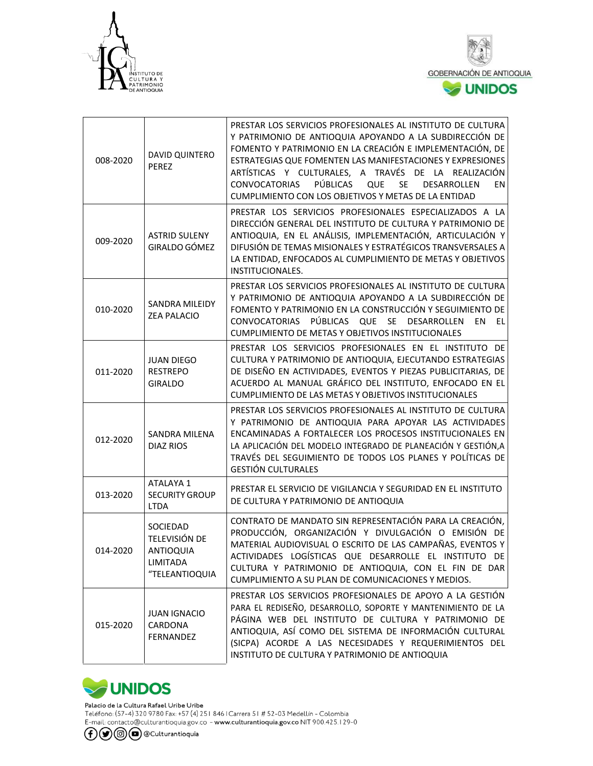



| 008-2020 | DAVID QUINTERO<br><b>PEREZ</b>                                              | PRESTAR LOS SERVICIOS PROFESIONALES AL INSTITUTO DE CULTURA<br>Y PATRIMONIO DE ANTIOQUIA APOYANDO A LA SUBDIRECCIÓN DE<br>FOMENTO Y PATRIMONIO EN LA CREACIÓN E IMPLEMENTACIÓN, DE<br>ESTRATEGIAS QUE FOMENTEN LAS MANIFESTACIONES Y EXPRESIONES<br>ARTÍSTICAS Y CULTURALES, A TRAVÉS DE LA REALIZACIÓN<br>PÚBLICAS<br><b>CONVOCATORIAS</b><br><b>QUE</b><br>SE<br><b>DESARROLLEN</b><br>EN<br>CUMPLIMIENTO CON LOS OBJETIVOS Y METAS DE LA ENTIDAD |
|----------|-----------------------------------------------------------------------------|-----------------------------------------------------------------------------------------------------------------------------------------------------------------------------------------------------------------------------------------------------------------------------------------------------------------------------------------------------------------------------------------------------------------------------------------------------|
| 009-2020 | <b>ASTRID SULENY</b><br>GIRALDO GÓMEZ                                       | PRESTAR LOS SERVICIOS PROFESIONALES ESPECIALIZADOS A LA<br>DIRECCIÓN GENERAL DEL INSTITUTO DE CULTURA Y PATRIMONIO DE<br>ANTIOQUIA, EN EL ANÁLISIS, IMPLEMENTACIÓN, ARTICULACIÓN Y<br>DIFUSIÓN DE TEMAS MISIONALES Y ESTRATÉGICOS TRANSVERSALES A<br>LA ENTIDAD, ENFOCADOS AL CUMPLIMIENTO DE METAS Y OBJETIVOS<br><b>INSTITUCIONALES.</b>                                                                                                          |
| 010-2020 | <b>SANDRA MILEIDY</b><br><b>ZEA PALACIO</b>                                 | PRESTAR LOS SERVICIOS PROFESIONALES AL INSTITUTO DE CULTURA<br>Y PATRIMONIO DE ANTIOQUIA APOYANDO A LA SUBDIRECCIÓN DE<br>FOMENTO Y PATRIMONIO EN LA CONSTRUCCIÓN Y SEGUIMIENTO DE<br>CONVOCATORIAS PÚBLICAS QUE SE DESARROLLEN<br>EN<br>EL<br>CUMPLIMIENTO DE METAS Y OBJETIVOS INSTITUCIONALES                                                                                                                                                    |
| 011-2020 | <b>JUAN DIEGO</b><br><b>RESTREPO</b><br><b>GIRALDO</b>                      | PRESTAR LOS SERVICIOS PROFESIONALES EN EL INSTITUTO DE<br>CULTURA Y PATRIMONIO DE ANTIOQUIA, EJECUTANDO ESTRATEGIAS<br>DE DISEÑO EN ACTIVIDADES, EVENTOS Y PIEZAS PUBLICITARIAS, DE<br>ACUERDO AL MANUAL GRÁFICO DEL INSTITUTO, ENFOCADO EN EL<br>CUMPLIMIENTO DE LAS METAS Y OBJETIVOS INSTITUCIONALES                                                                                                                                             |
| 012-2020 | <b>SANDRA MILENA</b><br><b>DIAZ RIOS</b>                                    | PRESTAR LOS SERVICIOS PROFESIONALES AL INSTITUTO DE CULTURA<br>Y PATRIMONIO DE ANTIOQUIA PARA APOYAR LAS ACTIVIDADES<br>ENCAMINADAS A FORTALECER LOS PROCESOS INSTITUCIONALES EN<br>LA APLICACIÓN DEL MODELO INTEGRADO DE PLANEACIÓN Y GESTIÓN, A<br>TRAVÉS DEL SEGUIMIENTO DE TODOS LOS PLANES Y POLÍTICAS DE<br><b>GESTIÓN CULTURALES</b>                                                                                                         |
| 013-2020 | ATALAYA 1<br><b>SECURITY GROUP</b><br><b>LTDA</b>                           | PRESTAR EL SERVICIO DE VIGILANCIA Y SEGURIDAD EN EL INSTITUTO<br>DE CULTURA Y PATRIMONIO DE ANTIOQUIA                                                                                                                                                                                                                                                                                                                                               |
| 014-2020 | SOCIEDAD<br>TELEVISIÓN DE<br><b>ANTIOQUIA</b><br>LIMITADA<br>"TELEANTIOQUIA | CONTRATO DE MANDATO SIN REPRESENTACIÓN PARA LA CREACIÓN,<br>PRODUCCIÓN, ORGANIZACIÓN Y DIVULGACIÓN O EMISIÓN DE<br>MATERIAL AUDIOVISUAL O ESCRITO DE LAS CAMPAÑAS, EVENTOS Y<br>ACTIVIDADES LOGÍSTICAS QUE DESARROLLE EL INSTITUTO DE<br>CULTURA Y PATRIMONIO DE ANTIOQUIA, CON EL FIN DE DAR<br>CUMPLIMIENTO A SU PLAN DE COMUNICACIONES Y MEDIOS.                                                                                                 |
| 015-2020 | <b>JUAN IGNACIO</b><br>CARDONA<br>FERNANDEZ                                 | PRESTAR LOS SERVICIOS PROFESIONALES DE APOYO A LA GESTIÓN<br>PARA EL REDISEÑO, DESARROLLO, SOPORTE Y MANTENIMIENTO DE LA<br>PÁGINA WEB DEL INSTITUTO DE CULTURA Y PATRIMONIO DE<br>ANTIOQUIA, ASÍ COMO DEL SISTEMA DE INFORMACIÓN CULTURAL<br>(SICPA) ACORDE A LAS NECESIDADES Y REQUERIMIENTOS DEL<br>INSTITUTO DE CULTURA Y PATRIMONIO DE ANTIOQUIA                                                                                               |



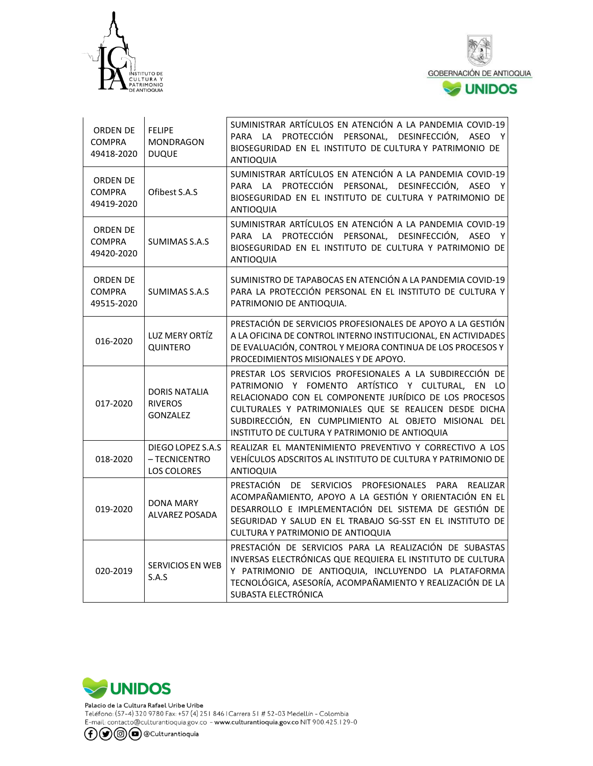



| ORDEN DE<br><b>COMPRA</b><br>49418-2020        | <b>FELIPE</b><br><b>MONDRAGON</b><br><b>DUQUE</b>         | SUMINISTRAR ARTÍCULOS EN ATENCIÓN A LA PANDEMIA COVID-19<br>PARA LA PROTECCIÓN PERSONAL, DESINFECCIÓN, ASEO Y<br>BIOSEGURIDAD EN EL INSTITUTO DE CULTURA Y PATRIMONIO DE<br><b>ANTIOQUIA</b>                                                                                                                                               |
|------------------------------------------------|-----------------------------------------------------------|--------------------------------------------------------------------------------------------------------------------------------------------------------------------------------------------------------------------------------------------------------------------------------------------------------------------------------------------|
| <b>ORDEN DE</b><br><b>COMPRA</b><br>49419-2020 | Ofibest S.A.S                                             | SUMINISTRAR ARTÍCULOS EN ATENCIÓN A LA PANDEMIA COVID-19<br>PARA LA PROTECCIÓN PERSONAL, DESINFECCIÓN, ASEO Y<br>BIOSEGURIDAD EN EL INSTITUTO DE CULTURA Y PATRIMONIO DE<br>ANTIOQUIA                                                                                                                                                      |
| <b>ORDEN DE</b><br><b>COMPRA</b><br>49420-2020 | SUMIMAS S.A.S                                             | SUMINISTRAR ARTÍCULOS EN ATENCIÓN A LA PANDEMIA COVID-19<br>PARA LA PROTECCIÓN PERSONAL, DESINFECCIÓN, ASEO Y<br>BIOSEGURIDAD EN EL INSTITUTO DE CULTURA Y PATRIMONIO DE<br><b>ANTIOQUIA</b>                                                                                                                                               |
| ORDEN DE<br><b>COMPRA</b><br>49515-2020        | SUMIMAS S.A.S                                             | SUMINISTRO DE TAPABOCAS EN ATENCIÓN A LA PANDEMIA COVID-19<br>PARA LA PROTECCIÓN PERSONAL EN EL INSTITUTO DE CULTURA Y<br>PATRIMONIO DE ANTIOQUIA.                                                                                                                                                                                         |
| 016-2020                                       | LUZ MERY ORTÍZ<br>QUINTERO                                | PRESTACIÓN DE SERVICIOS PROFESIONALES DE APOYO A LA GESTIÓN<br>A LA OFICINA DE CONTROL INTERNO INSTITUCIONAL, EN ACTIVIDADES<br>DE EVALUACIÓN, CONTROL Y MEJORA CONTINUA DE LOS PROCESOS Y<br>PROCEDIMIENTOS MISIONALES Y DE APOYO.                                                                                                        |
| 017-2020                                       | <b>DORIS NATALIA</b><br><b>RIVEROS</b><br><b>GONZALEZ</b> | PRESTAR LOS SERVICIOS PROFESIONALES A LA SUBDIRECCIÓN DE<br>PATRIMONIO Y FOMENTO ARTÍSTICO Y CULTURAL, EN LO<br>RELACIONADO CON EL COMPONENTE JURÍDICO DE LOS PROCESOS<br>CULTURALES Y PATRIMONIALES QUE SE REALICEN DESDE DICHA<br>SUBDIRECCIÓN, EN CUMPLIMIENTO AL OBJETO MISIONAL DEL<br>INSTITUTO DE CULTURA Y PATRIMONIO DE ANTIOQUIA |
| 018-2020                                       | DIEGO LOPEZ S.A.S<br>- TECNICENTRO<br><b>LOS COLORES</b>  | REALIZAR EL MANTENIMIENTO PREVENTIVO Y CORRECTIVO A LOS<br>VEHÍCULOS ADSCRITOS AL INSTITUTO DE CULTURA Y PATRIMONIO DE<br><b>ANTIOQUIA</b>                                                                                                                                                                                                 |
| 019-2020                                       | DONA MARY<br><b>ALVAREZ POSADA</b>                        | PRESTACIÓN DE SERVICIOS PROFESIONALES PARA REALIZAR<br>ACOMPAÑAMIENTO, APOYO A LA GESTIÓN Y ORIENTACIÓN EN EL<br>DESARROLLO E IMPLEMENTACIÓN DEL SISTEMA DE GESTIÓN DE<br>SEGURIDAD Y SALUD EN EL TRABAJO SG-SST EN EL INSTITUTO DE<br>CULTURA Y PATRIMONIO DE ANTIOQUIA                                                                   |
| 020-2019                                       | <b>SERVICIOS EN WEB</b><br>S.A.S                          | PRESTACIÓN DE SERVICIOS PARA LA REALIZACIÓN DE SUBASTAS<br>INVERSAS ELECTRÓNICAS QUE REQUIERA EL INSTITUTO DE CULTURA<br>Y PATRIMONIO DE ANTIOQUIA, INCLUYENDO LA PLATAFORMA<br>TECNOLÓGICA, ASESORÍA, ACOMPAÑAMIENTO Y REALIZACIÓN DE LA<br>SUBASTA ELECTRÓNICA                                                                           |

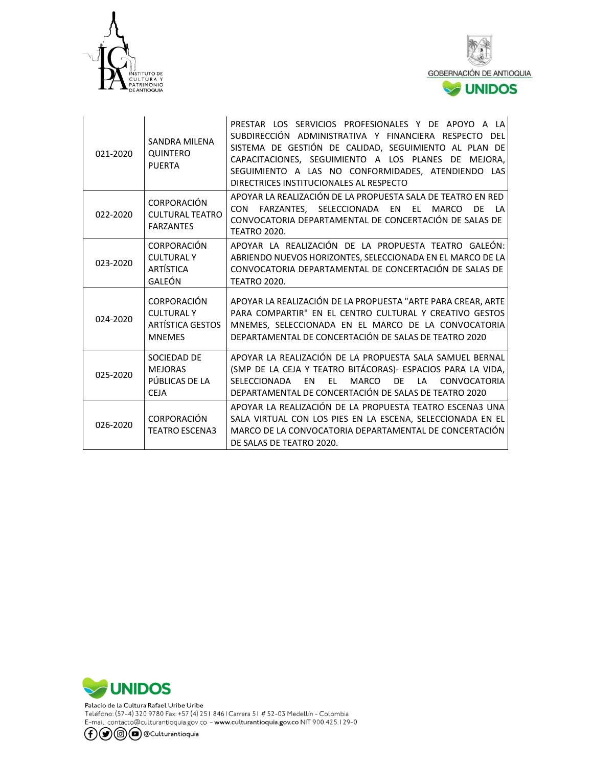



| 021-2020 | <b>SANDRA MILENA</b><br>QUINTERO<br><b>PUERTA</b>                            | PRESTAR LOS SERVICIOS PROFESIONALES Y DE APOYO A LA<br>SUBDIRECCIÓN ADMINISTRATIVA Y FINANCIERA RESPECTO DEL<br>SISTEMA DE GESTIÓN DE CALIDAD, SEGUIMIENTO AL PLAN DE<br>CAPACITACIONES, SEGUIMIENTO A LOS PLANES DE MEJORA,<br>SEGUIMIENTO A LAS NO CONFORMIDADES, ATENDIENDO LAS<br>DIRECTRICES INSTITUCIONALES AL RESPECTO |
|----------|------------------------------------------------------------------------------|-------------------------------------------------------------------------------------------------------------------------------------------------------------------------------------------------------------------------------------------------------------------------------------------------------------------------------|
| 022-2020 | CORPORACIÓN<br><b>CULTURAL TEATRO</b><br><b>FARZANTES</b>                    | APOYAR LA REALIZACIÓN DE LA PROPUESTA SALA DE TEATRO EN RED<br>FARZANTES, SELECCIONADA EN<br><b>CON</b><br>EL MARCO<br>DF<br>$\mathsf{I}$ A<br>CONVOCATORIA DEPARTAMENTAL DE CONCERTACIÓN DE SALAS DE<br><b>TEATRO 2020.</b>                                                                                                  |
| 023-2020 | <b>CORPORACIÓN</b><br><b>CULTURALY</b><br><b>ARTÍSTICA</b><br>GALEÓN         | APOYAR LA REALIZACIÓN DE LA PROPUESTA TEATRO GALEÓN:<br>ABRIENDO NUEVOS HORIZONTES, SELECCIONADA EN EL MARCO DE LA<br>CONVOCATORIA DEPARTAMENTAL DE CONCERTACIÓN DE SALAS DE<br><b>TEATRO 2020.</b>                                                                                                                           |
| 024-2020 | CORPORACIÓN<br><b>CULTURAL Y</b><br><b>ARTÍSTICA GESTOS</b><br><b>MNEMES</b> | APOYAR LA REALIZACIÓN DE LA PROPUESTA "ARTE PARA CREAR, ARTE<br>PARA COMPARTIR" EN EL CENTRO CULTURAL Y CREATIVO GESTOS<br>MNEMES, SELECCIONADA EN EL MARCO DE LA CONVOCATORIA<br>DEPARTAMENTAL DE CONCERTACIÓN DE SALAS DE TEATRO 2020                                                                                       |
| 025-2020 | SOCIEDAD DE<br><b>MEJORAS</b><br>PÚBLICAS DE LA<br><b>CEJA</b>               | APOYAR LA REALIZACIÓN DE LA PROPUESTA SALA SAMUEL BERNAL<br>(SMP DE LA CEJA Y TEATRO BITÁCORAS)- ESPACIOS PARA LA VIDA,<br>SELECCIONADA<br><b>FN</b><br>EL.<br>MARCO<br>DE 1<br>CONVOCATORIA<br>$\overline{A}$<br>DEPARTAMENTAL DE CONCERTACIÓN DE SALAS DE TEATRO 2020                                                       |
| 026-2020 | CORPORACIÓN<br><b>TEATRO ESCENA3</b>                                         | APOYAR LA REALIZACIÓN DE LA PROPUESTA TEATRO ESCENA3 UNA<br>SALA VIRTUAL CON LOS PIES EN LA ESCENA, SELECCIONADA EN EL<br>MARCO DE LA CONVOCATORIA DEPARTAMENTAL DE CONCERTACIÓN<br>DE SALAS DE TEATRO 2020.                                                                                                                  |



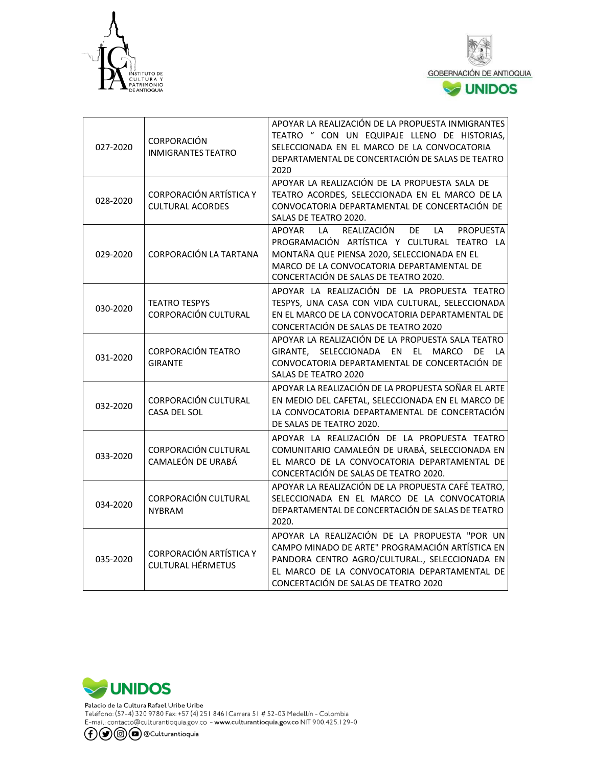



| 027-2020 | <b>CORPORACIÓN</b><br><b>INMIGRANTES TEATRO</b>            | APOYAR LA REALIZACIÓN DE LA PROPUESTA INMIGRANTES<br>TEATRO " CON UN EQUIPAJE LLENO DE HISTORIAS,<br>SELECCIONADA EN EL MARCO DE LA CONVOCATORIA<br>DEPARTAMENTAL DE CONCERTACIÓN DE SALAS DE TEATRO<br>2020                                    |
|----------|------------------------------------------------------------|-------------------------------------------------------------------------------------------------------------------------------------------------------------------------------------------------------------------------------------------------|
| 028-2020 | <b>CORPORACIÓN ARTÍSTICA Y</b><br><b>CULTURAL ACORDES</b>  | APOYAR LA REALIZACIÓN DE LA PROPUESTA SALA DE<br>TEATRO ACORDES, SELECCIONADA EN EL MARCO DE LA<br>CONVOCATORIA DEPARTAMENTAL DE CONCERTACIÓN DE<br>SALAS DE TEATRO 2020.                                                                       |
| 029-2020 | CORPORACIÓN LA TARTANA                                     | REALIZACIÓN<br>DE<br>LA<br>APOYAR<br>LA<br><b>PROPUESTA</b><br>PROGRAMACIÓN ARTÍSTICA Y CULTURAL TEATRO LA<br>MONTAÑA QUE PIENSA 2020, SELECCIONADA EN EL<br>MARCO DE LA CONVOCATORIA DEPARTAMENTAL DE<br>CONCERTACIÓN DE SALAS DE TEATRO 2020. |
| 030-2020 | <b>TEATRO TESPYS</b><br>CORPORACIÓN CULTURAL               | APOYAR LA REALIZACIÓN DE LA PROPUESTA TEATRO<br>TESPYS, UNA CASA CON VIDA CULTURAL, SELECCIONADA<br>EN EL MARCO DE LA CONVOCATORIA DEPARTAMENTAL DE<br>CONCERTACIÓN DE SALAS DE TEATRO 2020                                                     |
| 031-2020 | <b>CORPORACIÓN TEATRO</b><br><b>GIRANTE</b>                | APOYAR LA REALIZACIÓN DE LA PROPUESTA SALA TEATRO<br>GIRANTE, SELECCIONADA EN EL MARCO DE LA<br>CONVOCATORIA DEPARTAMENTAL DE CONCERTACIÓN DE<br>SALAS DE TEATRO 2020                                                                           |
| 032-2020 | CORPORACIÓN CULTURAL<br><b>CASA DEL SOL</b>                | APOYAR LA REALIZACIÓN DE LA PROPUESTA SOÑAR EL ARTE<br>EN MEDIO DEL CAFETAL, SELECCIONADA EN EL MARCO DE<br>LA CONVOCATORIA DEPARTAMENTAL DE CONCERTACIÓN<br>DE SALAS DE TEATRO 2020.                                                           |
| 033-2020 | CORPORACIÓN CULTURAL<br>CAMALEÓN DE URABÁ                  | APOYAR LA REALIZACIÓN DE LA PROPUESTA TEATRO<br>COMUNITARIO CAMALEÓN DE URABÁ, SELECCIONADA EN<br>EL MARCO DE LA CONVOCATORIA DEPARTAMENTAL DE<br>CONCERTACIÓN DE SALAS DE TEATRO 2020.                                                         |
| 034-2020 | CORPORACIÓN CULTURAL<br><b>NYBRAM</b>                      | APOYAR LA REALIZACIÓN DE LA PROPUESTA CAFÉ TEATRO,<br>SELECCIONADA EN EL MARCO DE LA CONVOCATORIA<br>DEPARTAMENTAL DE CONCERTACIÓN DE SALAS DE TEATRO<br>2020.                                                                                  |
| 035-2020 | <b>CORPORACIÓN ARTÍSTICA Y</b><br><b>CULTURAL HÉRMETUS</b> | APOYAR LA REALIZACIÓN DE LA PROPUESTA "POR UN<br>CAMPO MINADO DE ARTE" PROGRAMACIÓN ARTÍSTICA EN<br>PANDORA CENTRO AGRO/CULTURAL., SELECCIONADA EN<br>EL MARCO DE LA CONVOCATORIA DEPARTAMENTAL DE<br>CONCERTACIÓN DE SALAS DE TEATRO 2020      |

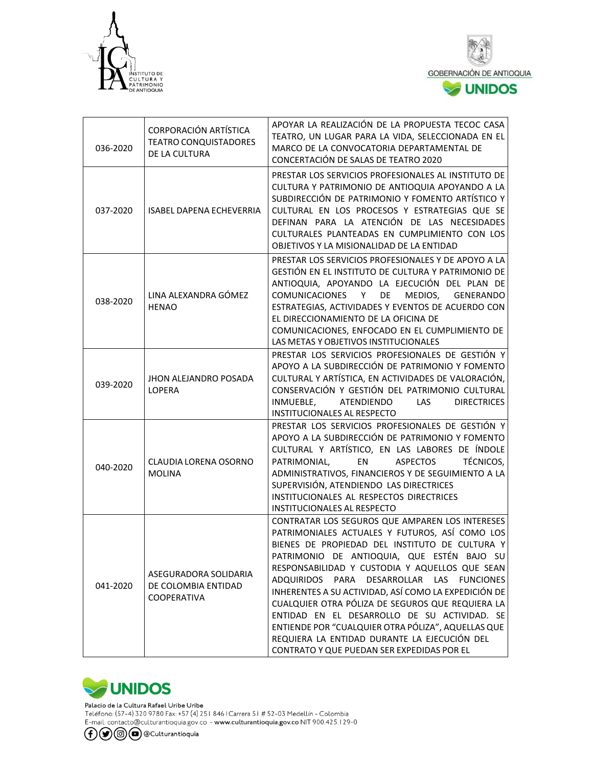



| 036-2020 | CORPORACIÓN ARTÍSTICA<br><b>TEATRO CONQUISTADORES</b><br>DE LA CULTURA | APOYAR LA REALIZACIÓN DE LA PROPUESTA TECOC CASA<br>TEATRO, UN LUGAR PARA LA VIDA, SELECCIONADA EN EL<br>MARCO DE LA CONVOCATORIA DEPARTAMENTAL DE<br>CONCERTACIÓN DE SALAS DE TEATRO 2020                                                                                                                                                                                                                                                                                                                                                                                                                       |
|----------|------------------------------------------------------------------------|------------------------------------------------------------------------------------------------------------------------------------------------------------------------------------------------------------------------------------------------------------------------------------------------------------------------------------------------------------------------------------------------------------------------------------------------------------------------------------------------------------------------------------------------------------------------------------------------------------------|
| 037-2020 | <b>ISABEL DAPENA ECHEVERRIA</b>                                        | PRESTAR LOS SERVICIOS PROFESIONALES AL INSTITUTO DE<br>CULTURA Y PATRIMONIO DE ANTIOQUIA APOYANDO A LA<br>SUBDIRECCIÓN DE PATRIMONIO Y FOMENTO ARTÍSTICO Y<br>CULTURAL EN LOS PROCESOS Y ESTRATEGIAS QUE SE<br>DEFINAN PARA LA ATENCIÓN DE LAS NECESIDADES<br>CULTURALES PLANTEADAS EN CUMPLIMIENTO CON LOS<br>OBJETIVOS Y LA MISIONALIDAD DE LA ENTIDAD                                                                                                                                                                                                                                                         |
| 038-2020 | LINA ALEXANDRA GÓMEZ<br><b>HENAO</b>                                   | PRESTAR LOS SERVICIOS PROFESIONALES Y DE APOYO A LA<br>GESTIÓN EN EL INSTITUTO DE CULTURA Y PATRIMONIO DE<br>ANTIOQUIA, APOYANDO LA EJECUCIÓN DEL PLAN DE<br>COMUNICACIONES Y<br>DE<br>MEDIOS,<br><b>GENERANDO</b><br>ESTRATEGIAS, ACTIVIDADES Y EVENTOS DE ACUERDO CON<br>EL DIRECCIONAMIENTO DE LA OFICINA DE<br>COMUNICACIONES, ENFOCADO EN EL CUMPLIMIENTO DE<br>LAS METAS Y OBJETIVOS INSTITUCIONALES                                                                                                                                                                                                       |
| 039-2020 | JHON ALEJANDRO POSADA<br><b>LOPERA</b>                                 | PRESTAR LOS SERVICIOS PROFESIONALES DE GESTIÓN Y<br>APOYO A LA SUBDIRECCIÓN DE PATRIMONIO Y FOMENTO<br>CULTURAL Y ARTÍSTICA, EN ACTIVIDADES DE VALORACIÓN,<br>CONSERVACIÓN Y GESTIÓN DEL PATRIMONIO CULTURAL<br>INMUEBLE,<br>ATENDIENDO<br><b>DIRECTRICES</b><br><b>LAS</b><br>INSTITUCIONALES AL RESPECTO                                                                                                                                                                                                                                                                                                       |
| 040-2020 | <b>CLAUDIA LORENA OSORNO</b><br><b>MOLINA</b>                          | PRESTAR LOS SERVICIOS PROFESIONALES DE GESTIÓN Y<br>APOYO A LA SUBDIRECCIÓN DE PATRIMONIO Y FOMENTO<br>CULTURAL Y ARTÍSTICO, EN LAS LABORES DE ÍNDOLE<br>EN<br><b>ASPECTOS</b><br>TÉCNICOS,<br>PATRIMONIAL,<br>ADMINISTRATIVOS, FINANCIEROS Y DE SEGUIMIENTO A LA<br>SUPERVISIÓN, ATENDIENDO LAS DIRECTRICES<br>INSTITUCIONALES AL RESPECTOS DIRECTRICES<br><b>INSTITUCIONALES AL RESPECTO</b>                                                                                                                                                                                                                   |
| 041-2020 | ASEGURADORA SOLIDARIA<br>DE COLOMBIA ENTIDAD<br>COOPERATIVA            | CONTRATAR LOS SEGUROS QUE AMPAREN LOS INTERESES<br>PATRIMONIALES ACTUALES Y FUTUROS, ASÍ COMO LOS<br>BIENES DE PROPIEDAD DEL INSTITUTO DE CULTURA Y<br>PATRIMONIO DE ANTIOQUIA, QUE ESTÉN BAJO SU<br>RESPONSABILIDAD Y CUSTODIA Y AQUELLOS QUE SEAN<br>ADQUIRIDOS PARA DESARROLLAR LAS FUNCIONES<br>INHERENTES A SU ACTIVIDAD, ASÍ COMO LA EXPEDICIÓN DE<br>CUALQUIER OTRA PÓLIZA DE SEGUROS QUE REQUIERA LA<br>ENTIDAD EN EL DESARROLLO DE SU ACTIVIDAD. SE<br>ENTIENDE POR "CUALQUIER OTRA PÓLIZA", AQUELLAS QUE<br>REQUIERA LA ENTIDAD DURANTE LA EJECUCIÓN DEL<br>CONTRATO Y QUE PUEDAN SER EXPEDIDAS POR EL |



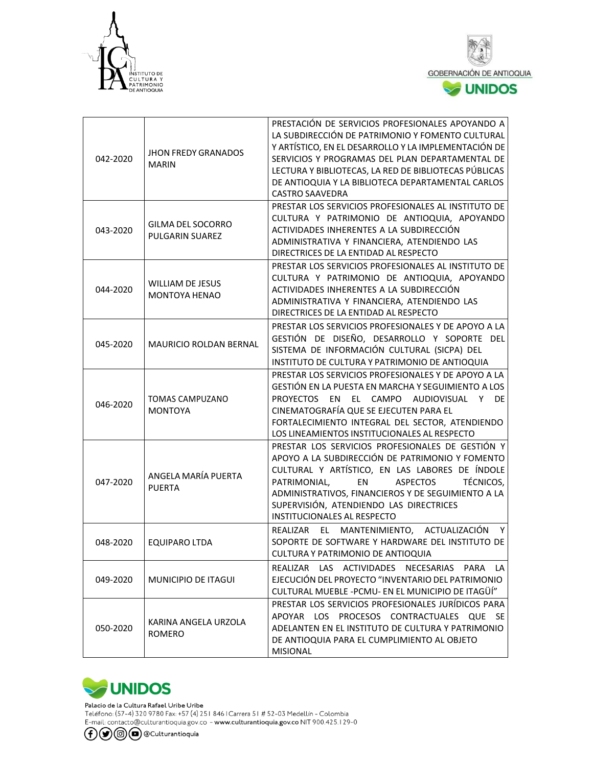



| 042-2020 | <b>JHON FREDY GRANADOS</b><br><b>MARIN</b>  | PRESTACIÓN DE SERVICIOS PROFESIONALES APOYANDO A<br>LA SUBDIRECCIÓN DE PATRIMONIO Y FOMENTO CULTURAL<br>Y ARTÍSTICO, EN EL DESARROLLO Y LA IMPLEMENTACIÓN DE<br>SERVICIOS Y PROGRAMAS DEL PLAN DEPARTAMENTAL DE<br>LECTURA Y BIBLIOTECAS, LA RED DE BIBLIOTECAS PÚBLICAS<br>DE ANTIOQUIA Y LA BIBLIOTECA DEPARTAMENTAL CARLOS<br><b>CASTRO SAAVEDRA</b> |
|----------|---------------------------------------------|---------------------------------------------------------------------------------------------------------------------------------------------------------------------------------------------------------------------------------------------------------------------------------------------------------------------------------------------------------|
| 043-2020 | <b>GILMA DEL SOCORRO</b><br>PULGARIN SUAREZ | PRESTAR LOS SERVICIOS PROFESIONALES AL INSTITUTO DE<br>CULTURA Y PATRIMONIO DE ANTIOQUIA, APOYANDO<br>ACTIVIDADES INHERENTES A LA SUBDIRECCIÓN<br>ADMINISTRATIVA Y FINANCIERA, ATENDIENDO LAS<br>DIRECTRICES DE LA ENTIDAD AL RESPECTO                                                                                                                  |
| 044-2020 | <b>WILLIAM DE JESUS</b><br>MONTOYA HENAO    | PRESTAR LOS SERVICIOS PROFESIONALES AL INSTITUTO DE<br>CULTURA Y PATRIMONIO DE ANTIOQUIA, APOYANDO<br>ACTIVIDADES INHERENTES A LA SUBDIRECCIÓN<br>ADMINISTRATIVA Y FINANCIERA, ATENDIENDO LAS<br>DIRECTRICES DE LA ENTIDAD AL RESPECTO                                                                                                                  |
| 045-2020 | MAURICIO ROLDAN BERNAL                      | PRESTAR LOS SERVICIOS PROFESIONALES Y DE APOYO A LA<br>GESTIÓN DE DISEÑO, DESARROLLO Y SOPORTE DEL<br>SISTEMA DE INFORMACIÓN CULTURAL (SICPA) DEL<br>INSTITUTO DE CULTURA Y PATRIMONIO DE ANTIOQUIA                                                                                                                                                     |
| 046-2020 | <b>TOMAS CAMPUZANO</b><br><b>MONTOYA</b>    | PRESTAR LOS SERVICIOS PROFESIONALES Y DE APOYO A LA<br>GESTIÓN EN LA PUESTA EN MARCHA Y SEGUIMIENTO A LOS<br><b>PROYECTOS</b><br>EN EL CAMPO AUDIOVISUAL<br>Y DE<br>CINEMATOGRAFÍA QUE SE EJECUTEN PARA EL<br>FORTALECIMIENTO INTEGRAL DEL SECTOR, ATENDIENDO<br>LOS LINEAMIENTOS INSTITUCIONALES AL RESPECTO                                           |
| 047-2020 | ANGELA MARÍA PUERTA<br><b>PUERTA</b>        | PRESTAR LOS SERVICIOS PROFESIONALES DE GESTIÓN Y<br>APOYO A LA SUBDIRECCIÓN DE PATRIMONIO Y FOMENTO<br>CULTURAL Y ARTÍSTICO, EN LAS LABORES DE ÍNDOLE<br>PATRIMONIAL,<br>EN<br><b>ASPECTOS</b><br>TÉCNICOS,<br>ADMINISTRATIVOS, FINANCIEROS Y DE SEGUIMIENTO A LA<br>SUPERVISIÓN, ATENDIENDO LAS DIRECTRICES<br><b>INSTITUCIONALES AL RESPECTO</b>      |
| 048-2020 | <b>EQUIPARO LTDA</b>                        | Y<br>REALIZAR EL MANTENIMIENTO, ACTUALIZACIÓN<br>SOPORTE DE SOFTWARE Y HARDWARE DEL INSTITUTO DE<br>CULTURA Y PATRIMONIO DE ANTIOQUIA                                                                                                                                                                                                                   |
| 049-2020 | <b>MUNICIPIO DE ITAGUI</b>                  | REALIZAR LAS ACTIVIDADES<br>NECESARIAS<br>PARA<br>LA<br>EJECUCIÓN DEL PROYECTO "INVENTARIO DEL PATRIMONIO<br>CULTURAL MUEBLE -PCMU- EN EL MUNICIPIO DE ITAGÜÍ"                                                                                                                                                                                          |
| 050-2020 | KARINA ANGELA URZOLA<br>ROMERO              | PRESTAR LOS SERVICIOS PROFESIONALES JURÍDICOS PARA<br>APOYAR LOS PROCESOS CONTRACTUALES QUE SE<br>ADELANTEN EN EL INSTITUTO DE CULTURA Y PATRIMONIO<br>DE ANTIOQUIA PARA EL CUMPLIMIENTO AL OBJETO<br><b>MISIONAL</b>                                                                                                                                   |



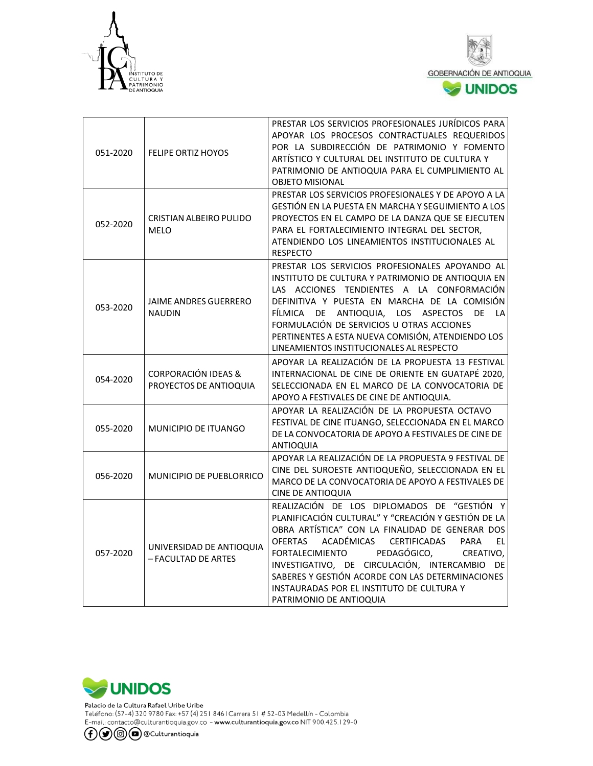



| 051-2020 | <b>FELIPE ORTIZ HOYOS</b>                                | PRESTAR LOS SERVICIOS PROFESIONALES JURÍDICOS PARA<br>APOYAR LOS PROCESOS CONTRACTUALES REQUERIDOS<br>POR LA SUBDIRECCIÓN DE PATRIMONIO Y FOMENTO<br>ARTÍSTICO Y CULTURAL DEL INSTITUTO DE CULTURA Y<br>PATRIMONIO DE ANTIOQUIA PARA EL CUMPLIMIENTO AL<br><b>OBJETO MISIONAL</b>                                                                                                                                                                      |
|----------|----------------------------------------------------------|--------------------------------------------------------------------------------------------------------------------------------------------------------------------------------------------------------------------------------------------------------------------------------------------------------------------------------------------------------------------------------------------------------------------------------------------------------|
| 052-2020 | CRISTIAN ALBEIRO PULIDO<br><b>MELO</b>                   | PRESTAR LOS SERVICIOS PROFESIONALES Y DE APOYO A LA<br>GESTIÓN EN LA PUESTA EN MARCHA Y SEGUIMIENTO A LOS<br>PROYECTOS EN EL CAMPO DE LA DANZA QUE SE EJECUTEN<br>PARA EL FORTALECIMIENTO INTEGRAL DEL SECTOR,<br>ATENDIENDO LOS LINEAMIENTOS INSTITUCIONALES AL<br><b>RESPECTO</b>                                                                                                                                                                    |
| 053-2020 | <b>JAIME ANDRES GUERRERO</b><br><b>NAUDIN</b>            | PRESTAR LOS SERVICIOS PROFESIONALES APOYANDO AL<br>INSTITUTO DE CULTURA Y PATRIMONIO DE ANTIOQUIA EN<br>LAS ACCIONES TENDIENTES A LA CONFORMACIÓN<br>DEFINITIVA Y PUESTA EN MARCHA DE LA COMISIÓN<br>FÍLMICA DE ANTIOQUIA, LOS ASPECTOS DE<br>LA<br>FORMULACIÓN DE SERVICIOS U OTRAS ACCIONES<br>PERTINENTES A ESTA NUEVA COMISIÓN, ATENDIENDO LOS<br>LINEAMIENTOS INSTITUCIONALES AL RESPECTO                                                         |
| 054-2020 | <b>CORPORACIÓN IDEAS &amp;</b><br>PROYECTOS DE ANTIOQUIA | APOYAR LA REALIZACIÓN DE LA PROPUESTA 13 FESTIVAL<br>INTERNACIONAL DE CINE DE ORIENTE EN GUATAPÉ 2020,<br>SELECCIONADA EN EL MARCO DE LA CONVOCATORIA DE<br>APOYO A FESTIVALES DE CINE DE ANTIOQUIA.                                                                                                                                                                                                                                                   |
| 055-2020 | <b>MUNICIPIO DE ITUANGO</b>                              | APOYAR LA REALIZACIÓN DE LA PROPUESTA OCTAVO<br>FESTIVAL DE CINE ITUANGO, SELECCIONADA EN EL MARCO<br>DE LA CONVOCATORIA DE APOYO A FESTIVALES DE CINE DE<br><b>ANTIOQUIA</b>                                                                                                                                                                                                                                                                          |
| 056-2020 | <b>MUNICIPIO DE PUEBLORRICO</b>                          | APOYAR LA REALIZACIÓN DE LA PROPUESTA 9 FESTIVAL DE<br>CINE DEL SUROESTE ANTIOQUEÑO, SELECCIONADA EN EL<br>MARCO DE LA CONVOCATORIA DE APOYO A FESTIVALES DE<br><b>CINE DE ANTIOQUIA</b>                                                                                                                                                                                                                                                               |
| 057-2020 | UNIVERSIDAD DE ANTIOQUIA<br>- FACULTAD DE ARTES          | REALIZACIÓN DE LOS DIPLOMADOS DE "GESTIÓN Y<br>PLANIFICACIÓN CULTURAL" Y "CREACIÓN Y GESTIÓN DE LA<br>OBRA ARTÍSTICA" CON LA FINALIDAD DE GENERAR DOS<br>ACADÉMICAS<br><b>CERTIFICADAS</b><br><b>OFERTAS</b><br>PARA<br>EL<br>FORTALECIMIENTO<br>PEDAGÓGICO,<br>CREATIVO,<br>INVESTIGATIVO, DE CIRCULACIÓN, INTERCAMBIO DE<br>SABERES Y GESTIÓN ACORDE CON LAS DETERMINACIONES<br>INSTAURADAS POR EL INSTITUTO DE CULTURA Y<br>PATRIMONIO DE ANTIOQUIA |

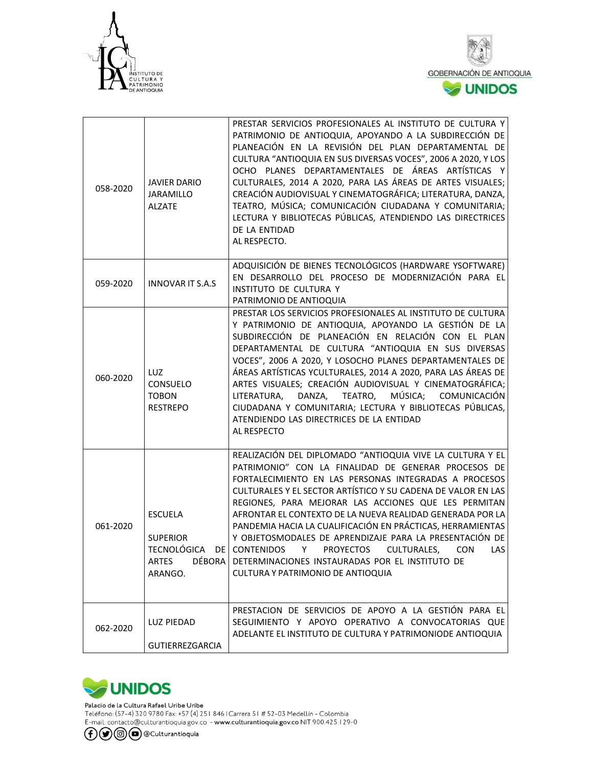



| 058-2020 | <b>JAVIER DARIO</b><br><b>JARAMILLO</b><br><b>ALZATE</b> | PRESTAR SERVICIOS PROFESIONALES AL INSTITUTO DE CULTURA Y<br>PATRIMONIO DE ANTIOQUIA, APOYANDO A LA SUBDIRECCIÓN DE<br>PLANEACIÓN EN LA REVISIÓN DEL PLAN DEPARTAMENTAL DE<br>CULTURA "ANTIOQUIA EN SUS DIVERSAS VOCES", 2006 A 2020, Y LOS<br>OCHO PLANES DEPARTAMENTALES DE ÁREAS ARTÍSTICAS Y<br>CULTURALES, 2014 A 2020, PARA LAS ÁREAS DE ARTES VISUALES;<br>CREACIÓN AUDIOVISUAL Y CINEMATOGRÁFICA; LITERATURA, DANZA,<br>TEATRO, MÚSICA; COMUNICACIÓN CIUDADANA Y COMUNITARIA;<br>LECTURA Y BIBLIOTECAS PÚBLICAS, ATENDIENDO LAS DIRECTRICES<br>DE LA ENTIDAD<br>AL RESPECTO.                                                                |
|----------|----------------------------------------------------------|-----------------------------------------------------------------------------------------------------------------------------------------------------------------------------------------------------------------------------------------------------------------------------------------------------------------------------------------------------------------------------------------------------------------------------------------------------------------------------------------------------------------------------------------------------------------------------------------------------------------------------------------------------|
| 059-2020 | <b>INNOVAR IT S.A.S</b>                                  | ADQUISICIÓN DE BIENES TECNOLÓGICOS (HARDWARE YSOFTWARE)<br>EN DESARROLLO DEL PROCESO DE MODERNIZACIÓN PARA EL<br>INSTITUTO DE CULTURA Y<br>PATRIMONIO DE ANTIOQUIA                                                                                                                                                                                                                                                                                                                                                                                                                                                                                  |
| 060-2020 | LUZ.<br>CONSUELO<br><b>TOBON</b><br><b>RESTREPO</b>      | PRESTAR LOS SERVICIOS PROFESIONALES AL INSTITUTO DE CULTURA<br>Y PATRIMONIO DE ANTIOQUIA, APOYANDO LA GESTIÓN DE LA<br>SUBDIRECCIÓN DE PLANEACIÓN EN RELACIÓN CON EL PLAN<br>DEPARTAMENTAL DE CULTURA "ANTIOQUIA EN SUS DIVERSAS<br>VOCES", 2006 A 2020, Y LOSOCHO PLANES DEPARTAMENTALES DE<br>ÁREAS ARTÍSTICAS YCULTURALES, 2014 A 2020, PARA LAS ÁREAS DE<br>ARTES VISUALES; CREACIÓN AUDIOVISUAL Y CINEMATOGRÁFICA;<br>MÚSICA;<br>TEATRO,<br>COMUNICACIÓN<br>LITERATURA,<br>DANZA,<br>CIUDADANA Y COMUNITARIA; LECTURA Y BIBLIOTECAS PÚBLICAS,<br>ATENDIENDO LAS DIRECTRICES DE LA ENTIDAD<br>AL RESPECTO                                       |
| 061-2020 | <b>ESCUELA</b><br><b>SUPERIOR</b><br>ARTES<br>ARANGO.    | REALIZACIÓN DEL DIPLOMADO "ANTIOQUIA VIVE LA CULTURA Y EL<br>PATRIMONIO" CON LA FINALIDAD DE GENERAR PROCESOS DE<br>FORTALECIMIENTO EN LAS PERSONAS INTEGRADAS A PROCESOS<br>CULTURALES Y EL SECTOR ARTÍSTICO Y SU CADENA DE VALOR EN LAS<br>REGIONES, PARA MEJORAR LAS ACCIONES QUE LES PERMITAN<br>AFRONTAR EL CONTEXTO DE LA NUEVA REALIDAD GENERADA POR LA<br>PANDEMIA HACIA LA CUALIFICACIÓN EN PRÁCTICAS, HERRAMIENTAS<br>Y OBJETOSMODALES DE APRENDIZAJE PARA LA PRESENTACIÓN DE<br>TECNOLÓGICA DE CONTENIDOS Y PROYECTOS CULTURALES, CON LAS<br>DÉBORA DETERMINACIONES INSTAURADAS POR EL INSTITUTO DE<br>CULTURA Y PATRIMONIO DE ANTIOQUIA |
| 062-2020 | LUZ PIEDAD<br><b>GUTIERREZGARCIA</b>                     | PRESTACION DE SERVICIOS DE APOYO A LA GESTIÓN PARA EL<br>SEGUIMIENTO Y APOYO OPERATIVO A CONVOCATORIAS QUE<br>ADELANTE EL INSTITUTO DE CULTURA Y PATRIMONIODE ANTIOQUIA                                                                                                                                                                                                                                                                                                                                                                                                                                                                             |



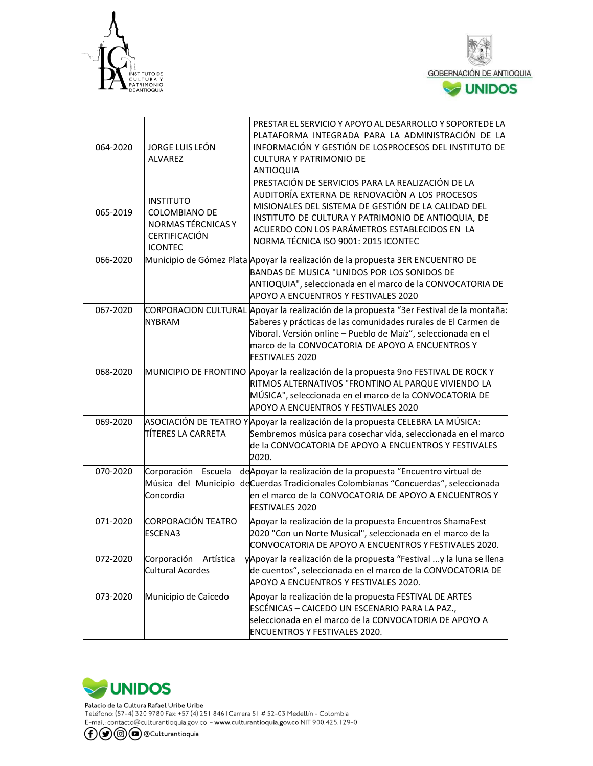



| 064-2020 | JORGE LUIS LEÓN<br><b>ALVAREZ</b>                                                                               | PRESTAR EL SERVICIO Y APOYO AL DESARROLLO Y SOPORTEDE LA<br>PLATAFORMA INTEGRADA PARA LA ADMINISTRACIÓN DE LA<br>INFORMACIÓN Y GESTIÓN DE LOSPROCESOS DEL INSTITUTO DE<br><b>CULTURA Y PATRIMONIO DE</b><br><b>ANTIOQUIA</b>                                                                              |
|----------|-----------------------------------------------------------------------------------------------------------------|-----------------------------------------------------------------------------------------------------------------------------------------------------------------------------------------------------------------------------------------------------------------------------------------------------------|
| 065-2019 | <b>INSTITUTO</b><br><b>COLOMBIANO DE</b><br><b>NORMAS TÉRCNICAS Y</b><br><b>CERTIFICACIÓN</b><br><b>ICONTEC</b> | PRESTACIÓN DE SERVICIOS PARA LA REALIZACIÓN DE LA<br>AUDITORÍA EXTERNA DE RENOVACIÓN A LOS PROCESOS<br>MISIONALES DEL SISTEMA DE GESTIÓN DE LA CALIDAD DEL<br>INSTITUTO DE CULTURA Y PATRIMONIO DE ANTIOQUIA, DE<br>ACUERDO CON LOS PARÁMETROS ESTABLECIDOS EN LA<br>NORMA TÉCNICA ISO 9001: 2015 ICONTEC |
| 066-2020 |                                                                                                                 | Municipio de Gómez Plata Apoyar la realización de la propuesta 3ER ENCUENTRO DE<br>BANDAS DE MUSICA "UNIDOS POR LOS SONIDOS DE<br>ANTIOQUIA", seleccionada en el marco de la CONVOCATORIA DE<br>APOYO A ENCUENTROS Y FESTIVALES 2020                                                                      |
| 067-2020 | <b>NYBRAM</b>                                                                                                   | CORPORACION CULTURAL Apoyar la realización de la propuesta "3er Festival de la montaña:<br>Saberes y prácticas de las comunidades rurales de El Carmen de<br>Viboral. Versión online - Pueblo de Maíz", seleccionada en el<br>marco de la CONVOCATORIA DE APOYO A ENCUENTROS Y<br><b>FESTIVALES 2020</b>  |
| 068-2020 |                                                                                                                 | MUNICIPIO DE FRONTINO Apoyar la realización de la propuesta 9no FESTIVAL DE ROCK Y<br>RITMOS ALTERNATIVOS "FRONTINO AL PARQUE VIVIENDO LA<br>MÚSICA", seleccionada en el marco de la CONVOCATORIA DE<br>APOYO A ENCUENTROS Y FESTIVALES 2020                                                              |
| 069-2020 | TÍTERES LA CARRETA                                                                                              | ASOCIACIÓN DE TEATRO Y Apoyar la realización de la propuesta CELEBRA LA MÚSICA:<br>Sembremos música para cosechar vida, seleccionada en el marco<br>de la CONVOCATORIA DE APOYO A ENCUENTROS Y FESTIVALES<br>2020.                                                                                        |
| 070-2020 | Corporación Escuela<br>Concordia                                                                                | de Apoyar la realización de la propuesta "Encuentro virtual de<br>Música del Municipio de Cuerdas Tradicionales Colombianas "Concuerdas", seleccionada<br>en el marco de la CONVOCATORIA DE APOYO A ENCUENTROS Y<br><b>FESTIVALES 2020</b>                                                                |
| 071-2020 | CORPORACIÓN TEATRO<br><b>ESCENA3</b>                                                                            | Apoyar la realización de la propuesta Encuentros ShamaFest<br>2020 "Con un Norte Musical", seleccionada en el marco de la<br>CONVOCATORIA DE APOYO A ENCUENTROS Y FESTIVALES 2020.                                                                                                                        |
| 072-2020 | Corporación<br>Artística<br><b>Cultural Acordes</b>                                                             | yApoyar la realización de la propuesta "Festival y la luna se llena<br>de cuentos", seleccionada en el marco de la CONVOCATORIA DE<br>APOYO A ENCUENTROS Y FESTIVALES 2020.                                                                                                                               |
| 073-2020 | Municipio de Caicedo                                                                                            | Apoyar la realización de la propuesta FESTIVAL DE ARTES<br>ESCÉNICAS - CAICEDO UN ESCENARIO PARA LA PAZ.,<br>seleccionada en el marco de la CONVOCATORIA DE APOYO A<br><b>ENCUENTROS Y FESTIVALES 2020.</b>                                                                                               |



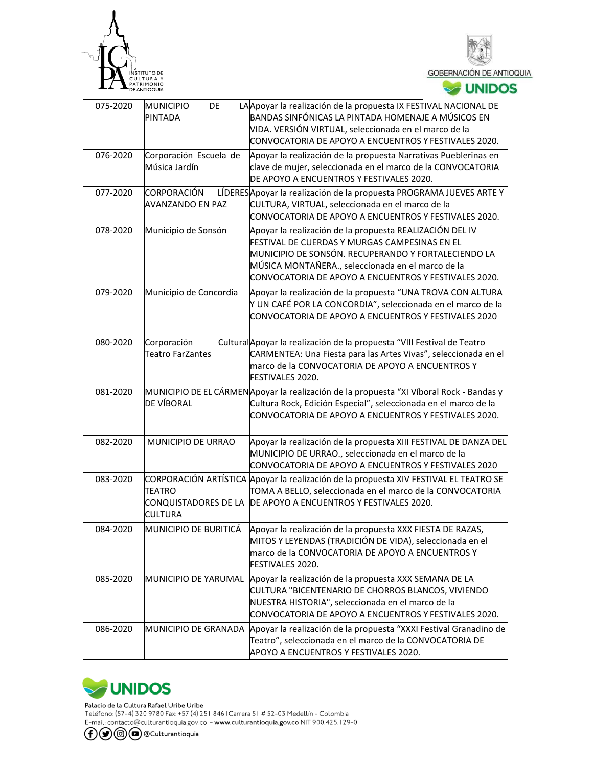





| 075-2020 | <b>MUNICIPIO</b><br>DE<br>PINTADA                       | LA Apoyar la realización de la propuesta IX FESTIVAL NACIONAL DE<br>BANDAS SINFÓNICAS LA PINTADA HOMENAJE A MÚSICOS EN<br>VIDA. VERSIÓN VIRTUAL, seleccionada en el marco de la<br>CONVOCATORIA DE APOYO A ENCUENTROS Y FESTIVALES 2020.                                       |
|----------|---------------------------------------------------------|--------------------------------------------------------------------------------------------------------------------------------------------------------------------------------------------------------------------------------------------------------------------------------|
| 076-2020 | Corporación Escuela de<br>Música Jardín                 | Apoyar la realización de la propuesta Narrativas Pueblerinas en<br>clave de mujer, seleccionada en el marco de la CONVOCATORIA<br>DE APOYO A ENCUENTROS Y FESTIVALES 2020.                                                                                                     |
| 077-2020 | CORPORACIÓN<br><b>AVANZANDO EN PAZ</b>                  | LÍDERES Apoyar la realización de la propuesta PROGRAMA JUEVES ARTE Y<br>CULTURA, VIRTUAL, seleccionada en el marco de la<br>CONVOCATORIA DE APOYO A ENCUENTROS Y FESTIVALES 2020.                                                                                              |
| 078-2020 | Municipio de Sonsón                                     | Apoyar la realización de la propuesta REALIZACIÓN DEL IV<br>FESTIVAL DE CUERDAS Y MURGAS CAMPESINAS EN EL<br>MUNICIPIO DE SONSÓN. RECUPERANDO Y FORTALECIENDO LA<br>MÚSICA MONTAÑERA., seleccionada en el marco de la<br>CONVOCATORIA DE APOYO A ENCUENTROS Y FESTIVALES 2020. |
| 079-2020 | Municipio de Concordia                                  | Apoyar la realización de la propuesta "UNA TROVA CON ALTURA<br>Y UN CAFÉ POR LA CONCORDIA", seleccionada en el marco de la<br>CONVOCATORIA DE APOYO A ENCUENTROS Y FESTIVALES 2020                                                                                             |
| 080-2020 | Corporación<br><b>Teatro FarZantes</b>                  | Cultural Apoyar la realización de la propuesta "VIII Festival de Teatro<br>CARMENTEA: Una Fiesta para las Artes Vivas", seleccionada en el<br>marco de la CONVOCATORIA DE APOYO A ENCUENTROS Y<br>FESTIVALES 2020.                                                             |
| 081-2020 | <b>DE VÍBORAL</b>                                       | MUNICIPIO DE EL CÁRMEN Apoyar la realización de la propuesta "XI Víboral Rock - Bandas y<br>Cultura Rock, Edición Especial", seleccionada en el marco de la<br>CONVOCATORIA DE APOYO A ENCUENTROS Y FESTIVALES 2020.                                                           |
| 082-2020 | MUNICIPIO DE URRAO                                      | Apoyar la realización de la propuesta XIII FESTIVAL DE DANZA DEL<br>MUNICIPIO DE URRAO., seleccionada en el marco de la<br>CONVOCATORIA DE APOYO A ENCUENTROS Y FESTIVALES 2020                                                                                                |
| 083-2020 | <b>TEATRO</b><br>CONQUISTADORES DE LA<br><b>CULTURA</b> | CORPORACIÓN ARTÍSTICA Apoyar la realización de la propuesta XIV FESTIVAL EL TEATRO SE<br>TOMA A BELLO, seleccionada en el marco de la CONVOCATORIA<br>DE APOYO A ENCUENTROS Y FESTIVALES 2020.                                                                                 |
| 084-2020 |                                                         | MUNICIPIO DE BURITICÁ Apoyar la realización de la propuesta XXX FIESTA DE RAZAS,<br>MITOS Y LEYENDAS (TRADICIÓN DE VIDA), seleccionada en el<br>marco de la CONVOCATORIA DE APOYO A ENCUENTROS Y<br>FESTIVALES 2020.                                                           |
| 085-2020 | MUNICIPIO DE YARUMAL                                    | Apoyar la realización de la propuesta XXX SEMANA DE LA<br>CULTURA "BICENTENARIO DE CHORROS BLANCOS, VIVIENDO<br>NUESTRA HISTORIA", seleccionada en el marco de la<br>CONVOCATORIA DE APOYO A ENCUENTROS Y FESTIVALES 2020.                                                     |
| 086-2020 |                                                         | MUNICIPIO DE GRANADA Apoyar la realización de la propuesta "XXXI Festival Granadino de<br>Teatro", seleccionada en el marco de la CONVOCATORIA DE<br>APOYO A ENCUENTROS Y FESTIVALES 2020.                                                                                     |



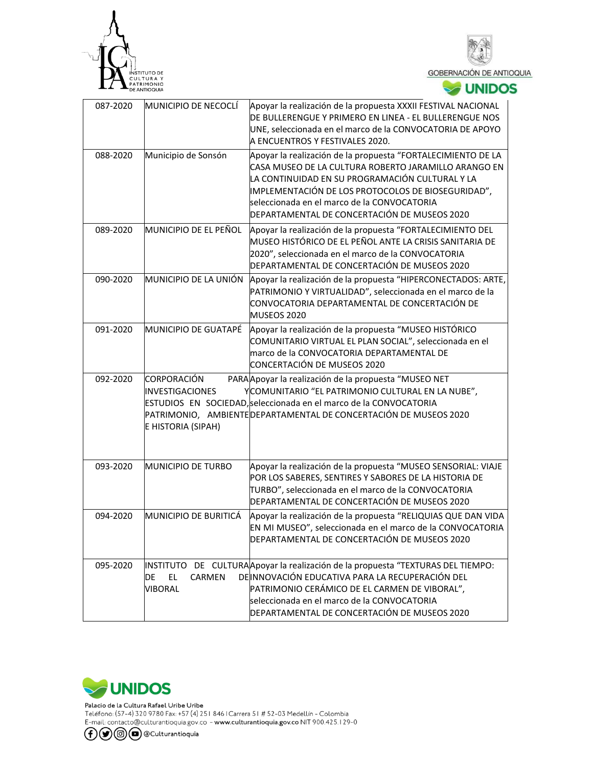



| 087-2020 | MUNICIPIO DE NECOCLÍ                                               | Apoyar la realización de la propuesta XXXII FESTIVAL NACIONAL<br>DE BULLERENGUE Y PRIMERO EN LINEA - EL BULLERENGUE NOS<br>UNE, seleccionada en el marco de la CONVOCATORIA DE APOYO<br>A ENCUENTROS Y FESTIVALES 2020.                                                                                                      |
|----------|--------------------------------------------------------------------|------------------------------------------------------------------------------------------------------------------------------------------------------------------------------------------------------------------------------------------------------------------------------------------------------------------------------|
| 088-2020 | Municipio de Sonsón                                                | Apoyar la realización de la propuesta "FORTALECIMIENTO DE LA<br>CASA MUSEO DE LA CULTURA ROBERTO JARAMILLO ARANGO EN<br>LA CONTINUIDAD EN SU PROGRAMACIÓN CULTURAL Y LA<br>IMPLEMENTACIÓN DE LOS PROTOCOLOS DE BIOSEGURIDAD",<br>seleccionada en el marco de la CONVOCATORIA<br>DEPARTAMENTAL DE CONCERTACIÓN DE MUSEOS 2020 |
| 089-2020 | MUNICIPIO DE EL PEÑOL                                              | Apoyar la realización de la propuesta "FORTALECIMIENTO DEL<br>MUSEO HISTÓRICO DE EL PEÑOL ANTE LA CRISIS SANITARIA DE<br>2020", seleccionada en el marco de la CONVOCATORIA<br>DEPARTAMENTAL DE CONCERTACIÓN DE MUSEOS 2020                                                                                                  |
| 090-2020 | MUNICIPIO DE LA UNIÓN                                              | Apoyar la realización de la propuesta "HIPERCONECTADOS: ARTE,<br>PATRIMONIO Y VIRTUALIDAD", seleccionada en el marco de la<br>CONVOCATORIA DEPARTAMENTAL DE CONCERTACIÓN DE<br>MUSEOS 2020                                                                                                                                   |
| 091-2020 | MUNICIPIO DE GUATAPÉ                                               | Apoyar la realización de la propuesta "MUSEO HISTÓRICO<br>COMUNITARIO VIRTUAL EL PLAN SOCIAL", seleccionada en el<br>marco de la CONVOCATORIA DEPARTAMENTAL DE<br>CONCERTACIÓN DE MUSEOS 2020                                                                                                                                |
| 092-2020 | <b>CORPORACIÓN</b><br><b>INVESTIGACIONES</b><br>E HISTORIA (SIPAH) | PARA Apoyar la realización de la propuesta "MUSEO NET<br>YCOMUNITARIO "EL PATRIMONIO CULTURAL EN LA NUBE",<br>ESTUDIOS EN SOCIEDAD, seleccionada en el marco de la CONVOCATORIA<br>PATRIMONIO, AMBIENTE DEPARTAMENTAL DE CONCERTACIÓN DE MUSEOS 2020                                                                         |
| 093-2020 | MUNICIPIO DE TURBO                                                 | Apoyar la realización de la propuesta "MUSEO SENSORIAL: VIAJE<br>POR LOS SABERES, SENTIRES Y SABORES DE LA HISTORIA DE<br>TURBO", seleccionada en el marco de la CONVOCATORIA<br>DEPARTAMENTAL DE CONCERTACIÓN DE MUSEOS 2020                                                                                                |
| 094-2020 | MUNICIPIO DE BURITICÁ                                              | Apoyar la realización de la propuesta "RELIQUIAS QUE DAN VIDA<br>EN MI MUSEO", seleccionada en el marco de la CONVOCATORIA<br>DEPARTAMENTAL DE CONCERTACIÓN DE MUSEOS 2020                                                                                                                                                   |
| 095-2020 | INSTITUTO<br>EL.<br>DE<br><b>CARMEN</b><br><b>VIBORAL</b>          | DE CULTURA Apoyar la realización de la propuesta "TEXTURAS DEL TIEMPO:<br>DE INNOVACIÓN EDUCATIVA PARA LA RECUPERACIÓN DEL<br>PATRIMONIO CERÁMICO DE EL CARMEN DE VIBORAL",<br>seleccionada en el marco de la CONVOCATORIA<br>DEPARTAMENTAL DE CONCERTACIÓN DE MUSEOS 2020                                                   |



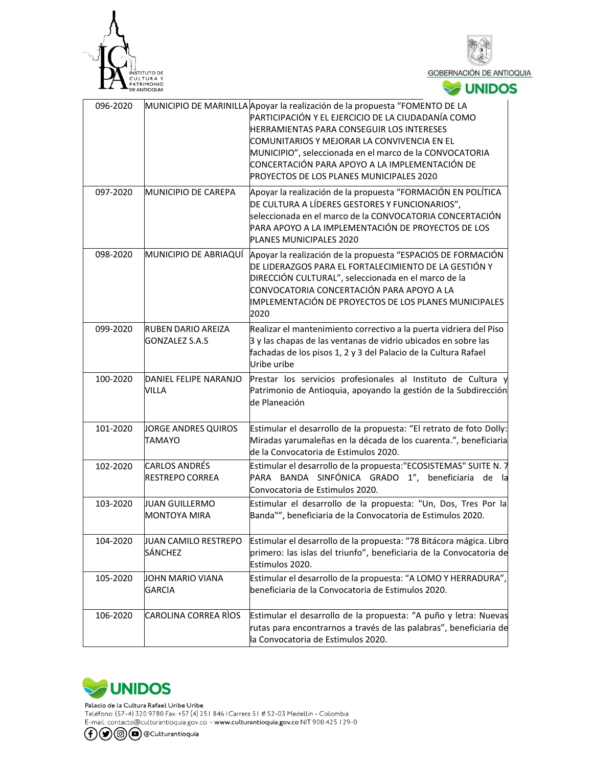



| 096-2020 |                                                 | MUNICIPIO DE MARINILLA Apoyar la realización de la propuesta "FOMENTO DE LA<br>PARTICIPACIÓN Y EL EJERCICIO DE LA CIUDADANÍA COMO<br>HERRAMIENTAS PARA CONSEGUIR LOS INTERESES<br>COMUNITARIOS Y MEJORAR LA CONVIVENCIA EN EL<br>MUNICIPIO", seleccionada en el marco de la CONVOCATORIA<br>CONCERTACIÓN PARA APOYO A LA IMPLEMENTACIÓN DE<br>PROYECTOS DE LOS PLANES MUNICIPALES 2020 |
|----------|-------------------------------------------------|----------------------------------------------------------------------------------------------------------------------------------------------------------------------------------------------------------------------------------------------------------------------------------------------------------------------------------------------------------------------------------------|
| 097-2020 | MUNICIPIO DE CAREPA                             | Apoyar la realización de la propuesta "FORMACIÓN EN POLÍTICA<br>DE CULTURA A LÍDERES GESTORES Y FUNCIONARIOS",<br>seleccionada en el marco de la CONVOCATORIA CONCERTACIÓN<br>PARA APOYO A LA IMPLEMENTACIÓN DE PROYECTOS DE LOS<br>PLANES MUNICIPALES 2020                                                                                                                            |
| 098-2020 |                                                 | MUNICIPIO DE ABRIAQUÍ Apoyar la realización de la propuesta "ESPACIOS DE FORMACIÓN<br>DE LIDERAZGOS PARA EL FORTALECIMIENTO DE LA GESTIÓN Y<br>DIRECCIÓN CULTURAL", seleccionada en el marco de la<br>CONVOCATORIA CONCERTACIÓN PARA APOYO A LA<br>IMPLEMENTACIÓN DE PROYECTOS DE LOS PLANES MUNICIPALES<br>2020                                                                       |
| 099-2020 | <b>RUBEN DARIO AREIZA</b><br>GONZALEZ S.A.S     | Realizar el mantenimiento correctivo a la puerta vidriera del Piso<br>3 y las chapas de las ventanas de vidrio ubicados en sobre las<br>fachadas de los pisos 1, 2 y 3 del Palacio de la Cultura Rafael<br>Uribe uribe                                                                                                                                                                 |
| 100-2020 | DANIEL FELIPE NARANJO<br>VILLA                  | Prestar los servicios profesionales al Instituto de Cultura y<br>Patrimonio de Antioquia, apoyando la gestión de la Subdirección<br>de Planeación                                                                                                                                                                                                                                      |
| 101-2020 | JORGE ANDRES QUIROS<br><b>TAMAYO</b>            | Estimular el desarrollo de la propuesta: "El retrato de foto Dolly:<br>Miradas yarumaleñas en la década de los cuarenta.", beneficiaria<br>de la Convocatoria de Estimulos 2020.                                                                                                                                                                                                       |
| 102-2020 | <b>CARLOS ANDRÉS</b><br><b>IRESTREPO CORREA</b> | Estimular el desarrollo de la propuesta:"ECOSISTEMAS" SUITE N. 7<br>PARA BANDA SINFÓNICA GRADO 1", beneficiaria de la<br>Convocatoria de Estimulos 2020.                                                                                                                                                                                                                               |
| 103-2020 | <b>JUAN GUILLERMO</b><br><b>MONTOYA MIRA</b>    | Estimular el desarrollo de la propuesta: "Un, Dos, Tres Por la<br>Banda"", beneficiaria de la Convocatoria de Estimulos 2020.                                                                                                                                                                                                                                                          |
| 104-2020 | JUAN CAMILO RESTREPO<br><b>SÁNCHEZ</b>          | Estimular el desarrollo de la propuesta: "78 Bitácora mágica. Libro<br>primero: las islas del triunfo", beneficiaria de la Convocatoria de<br>Estimulos 2020.                                                                                                                                                                                                                          |
| 105-2020 | JOHN MARIO VIANA<br><b>GARCIA</b>               | Estimular el desarrollo de la propuesta: "A LOMO Y HERRADURA",<br>beneficiaria de la Convocatoria de Estimulos 2020.                                                                                                                                                                                                                                                                   |
| 106-2020 | CAROLINA CORREA RÌOS                            | Estimular el desarrollo de la propuesta: "A puño y letra: Nuevas<br>rutas para encontrarnos a través de las palabras", beneficiaria de<br>la Convocatoria de Estimulos 2020.                                                                                                                                                                                                           |



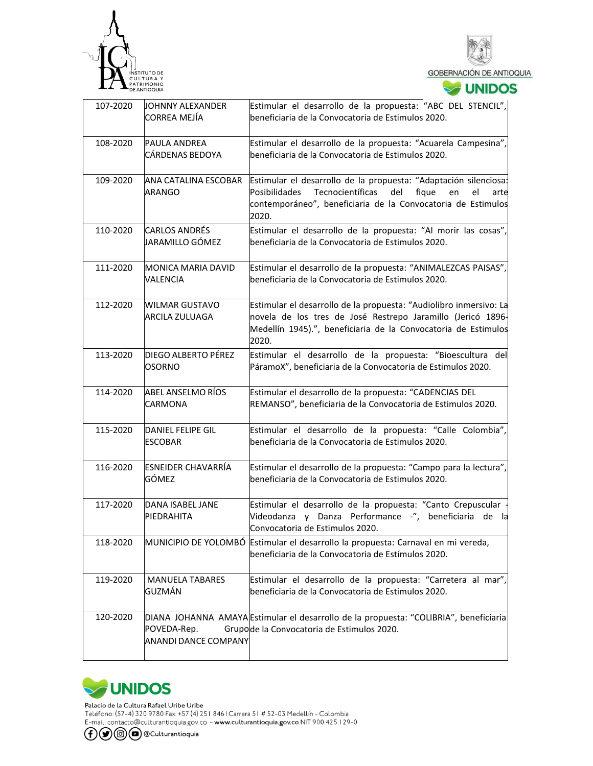



**SOUNIDOS** 

| 107-2020 | JOHNNY ALEXANDER                              | Estimular el desarrollo de la propuesta: "ABC DEL STENCIL",                                                                                                                                                        |  |
|----------|-----------------------------------------------|--------------------------------------------------------------------------------------------------------------------------------------------------------------------------------------------------------------------|--|
|          | CORREA MEJÍA                                  | beneficiaria de la Convocatoria de Estimulos 2020.                                                                                                                                                                 |  |
| 108-2020 | <b>PAULA ANDREA</b><br><b>CÁRDENAS BEDOYA</b> | Estimular el desarrollo de la propuesta: "Acuarela Campesina",<br>beneficiaria de la Convocatoria de Estimulos 2020.                                                                                               |  |
| 109-2020 | ANA CATALINA ESCOBAR<br><b>ARANGO</b>         | Estimular el desarrollo de la propuesta: "Adaptación silenciosa:<br>Posibilidades<br>Tecnocientíficas<br>del<br>fique<br>el<br>en<br>arte<br>contemporáneo", beneficiaria de la Convocatoria de Estimulos<br>2020. |  |
| 110-2020 | <b>CARLOS ANDRÉS</b><br>JARAMILLO GÓMEZ       | Estimular el desarrollo de la propuesta: "Al morir las cosas",<br>beneficiaria de la Convocatoria de Estimulos 2020.                                                                                               |  |
| 111-2020 | <b>MONICA MARIA DAVID</b><br><b>VALENCIA</b>  | Estimular el desarrollo de la propuesta: "ANIMALEZCAS PAISAS",<br>beneficiaria de la Convocatoria de Estimulos 2020.                                                                                               |  |
| 112-2020 | <b>WILMAR GUSTAVO</b><br>ARCILA ZULUAGA       | Estimular el desarrollo de la propuesta: "Audiolibro inmersivo: La<br>novela de los tres de José Restrepo Jaramillo (Jericó 1896-<br>Medellín 1945).", beneficiaria de la Convocatoria de Estimulos<br>2020.       |  |
| 113-2020 | <b>DIEGO ALBERTO PÉREZ</b><br>OSORNO          | Estimular el desarrollo de la propuesta: "Bioescultura del<br>PáramoX", beneficiaria de la Convocatoria de Estimulos 2020.                                                                                         |  |
| 114-2020 | ABEL ANSELMO RÍOS<br>CARMONA                  | Estimular el desarrollo de la propuesta: "CADENCIAS DEL<br>REMANSO", beneficiaria de la Convocatoria de Estimulos 2020.                                                                                            |  |
| 115-2020 | IDANIEL FELIPE GIL<br><b>ESCOBAR</b>          | Estimular el desarrollo de la propuesta: "Calle Colombia",<br>beneficiaria de la Convocatoria de Estimulos 2020.                                                                                                   |  |
| 116-2020 | <b>ESNEIDER CHAVARRÍA</b><br>GÓMEZ            | Estimular el desarrollo de la propuesta: "Campo para la lectura",<br>beneficiaria de la Convocatoria de Estimulos 2020.                                                                                            |  |
| 117-2020 | DANA ISABEL JANE<br>PIEDRAHITA                | Estimular el desarrollo de la propuesta: "Canto Crepuscular<br>Videodanza y Danza Performance -", beneficiaria de la<br>Convocatoria de Estimulos 2020.                                                            |  |
| 118-2020 |                                               | MUNICIPIO DE YOLOMBÓ Estimular el desarrollo la propuesta: Carnaval en mi vereda,<br>beneficiaria de la Convocatoria de Estímulos 2020.                                                                            |  |
| 119-2020 | <b>MANUELA TABARES</b><br>GUZMÁN              | Estimular el desarrollo de la propuesta: "Carretera al mar",<br>beneficiaria de la Convocatoria de Estimulos 2020.                                                                                                 |  |
| 120-2020 | POVEDA-Rep.<br><b>ANANDI DANCE COMPANY</b>    | DIANA JOHANNA AMAYA Estimular el desarrollo de la propuesta: "COLIBRIA", beneficiaria<br>Grupode la Convocatoria de Estimulos 2020.                                                                                |  |



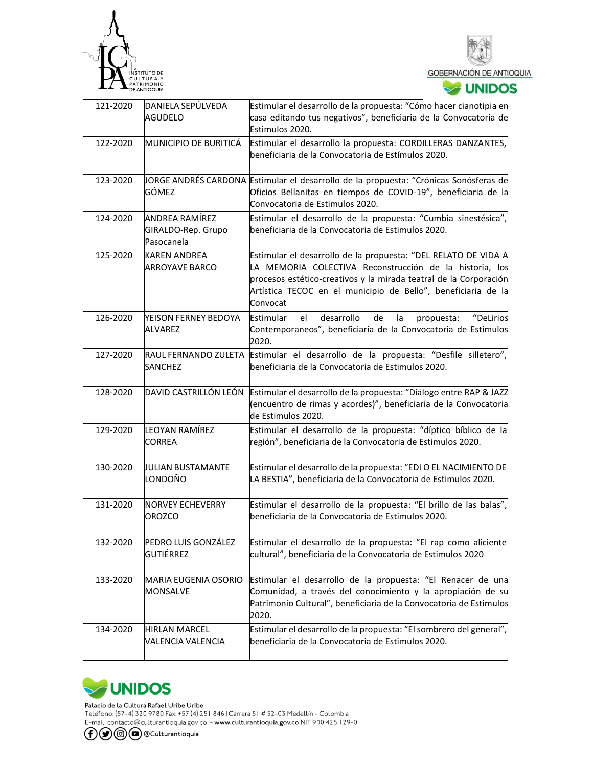



## **V**UNIDOS

| 121-2020 | DANIELA SEPÚLVEDA<br><b>AGUDELO</b>                | Estimular el desarrollo de la propuesta: "Cómo hacer cianotipia en<br>casa editando tus negativos", beneficiaria de la Convocatoria de<br>Estimulos 2020.                                                                                                                   |  |
|----------|----------------------------------------------------|-----------------------------------------------------------------------------------------------------------------------------------------------------------------------------------------------------------------------------------------------------------------------------|--|
| 122-2020 | IMUNICIPIO DE BURITICÁ                             | Estimular el desarrollo la propuesta: CORDILLERAS DANZANTES,<br>beneficiaria de la Convocatoria de Estímulos 2020.                                                                                                                                                          |  |
| 123-2020 | GÓMEZ                                              | JORGE ANDRÉS CARDONA Estimular el desarrollo de la propuesta: "Crónicas Sonósferas de<br>Oficios Bellanitas en tiempos de COVID-19", beneficiaria de la<br>Convocatoria de Estimulos 2020.                                                                                  |  |
| 124-2020 | ANDREA RAMÍREZ<br>GIRALDO-Rep. Grupo<br>Pasocanela | Estimular el desarrollo de la propuesta: "Cumbia sinestésica",<br>beneficiaria de la Convocatoria de Estimulos 2020.                                                                                                                                                        |  |
| 125-2020 | KAREN ANDREA<br><b>ARROYAVE BARCO</b>              | Estimular el desarrollo de la propuesta: "DEL RELATO DE VIDA A<br>LA MEMORIA COLECTIVA Reconstrucción de la historia, los<br>procesos estético-creativos y la mirada teatral de la Corporación<br>Artística TECOC en el municipio de Bello", beneficiaria de la<br>Convocat |  |
| 126-2020 | YEISON FERNEY BEDOYA<br>ALVAREZ                    | desarrollo<br>Estimular<br>el<br>de<br>"DeLirios<br>la<br>propuesta:<br>Contemporaneos", beneficiaria de la Convocatoria de Estimulos<br>2020.                                                                                                                              |  |
| 127-2020 | RAUL FERNANDO ZULETA<br><b>SANCHEZ</b>             | Estimular el desarrollo de la propuesta: "Desfile silletero",<br>beneficiaria de la Convocatoria de Estimulos 2020.                                                                                                                                                         |  |
| 128-2020 | DAVID CASTRILLÓN LEÓN                              | Estimular el desarrollo de la propuesta: "Diálogo entre RAP & JAZZ<br>(encuentro de rimas y acordes)", beneficiaria de la Convocatoria<br>de Estimulos 2020.                                                                                                                |  |
| 129-2020 | LEOYAN RAMÍREZ<br><b>CORREA</b>                    | Estimular el desarrollo de la propuesta: "díptico bíblico de la<br>región", beneficiaria de la Convocatoria de Estimulos 2020.                                                                                                                                              |  |
| 130-2020 | <b>JULIAN BUSTAMANTE</b><br>LONDOÑO                | Estimular el desarrollo de la propuesta: "EDI O EL NACIMIENTO DE<br>LA BESTIA", beneficiaria de la Convocatoria de Estimulos 2020.                                                                                                                                          |  |
| 131-2020 | <b>NORVEY ECHEVERRY</b><br><b>OROZCO</b>           | Estimular el desarrollo de la propuesta: "El brillo de las balas",<br>beneficiaria de la Convocatoria de Estimulos 2020.                                                                                                                                                    |  |
| 132-2020 | PEDRO LUIS GONZÁLEZ<br>GUTIÉRREZ                   | Estimular el desarrollo de la propuesta: "El rap como aliciente<br>cultural", beneficiaria de la Convocatoria de Estimulos 2020                                                                                                                                             |  |
| 133-2020 | <b>MARIA EUGENIA OSORIO</b><br><b>MONSALVE</b>     | Estimular el desarrollo de la propuesta: "El Renacer de una<br>Comunidad, a través del conocimiento y la apropiación de su<br>Patrimonio Cultural", beneficiaria de la Convocatoria de Estimulos<br>2020.                                                                   |  |
| 134-2020 | <b>HIRLAN MARCEL</b><br>VALENCIA VALENCIA          | Estimular el desarrollo de la propuesta: "El sombrero del general",<br>beneficiaria de la Convocatoria de Estimulos 2020.                                                                                                                                                   |  |



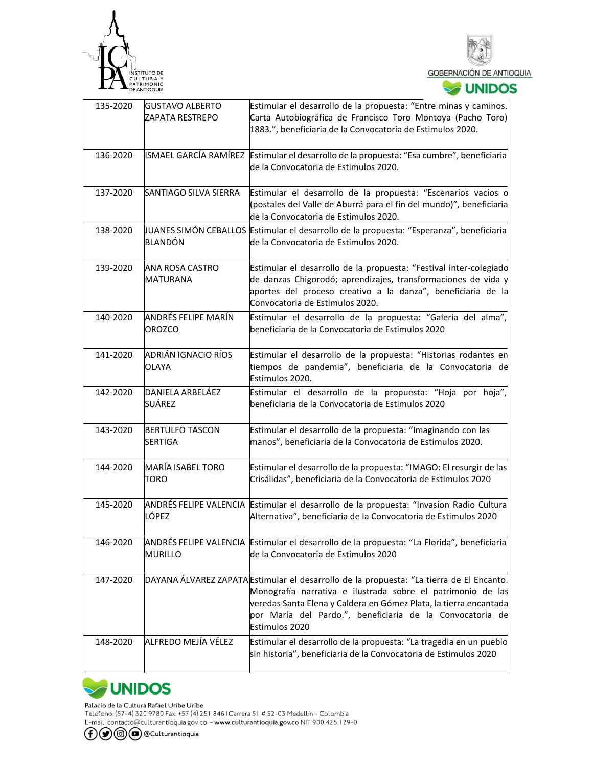



| 135-2020 | <b>GUSTAVO ALBERTO</b><br>ZAPATA RESTREPO | Estimular el desarrollo de la propuesta: "Entre minas y caminos.<br>Carta Autobiográfica de Francisco Toro Montoya (Pacho Toro)<br>1883.", beneficiaria de la Convocatoria de Estimulos 2020.                                                                                                               |
|----------|-------------------------------------------|-------------------------------------------------------------------------------------------------------------------------------------------------------------------------------------------------------------------------------------------------------------------------------------------------------------|
| 136-2020 |                                           | ISMAEL GARCÍA RAMÍREZ Estimular el desarrollo de la propuesta: "Esa cumbre", beneficiaria<br>de la Convocatoria de Estimulos 2020.                                                                                                                                                                          |
| 137-2020 | SANTIAGO SILVA SIERRA                     | Estimular el desarrollo de la propuesta: "Escenarios vacíos o<br>(postales del Valle de Aburrá para el fin del mundo)", beneficiaria<br>de la Convocatoria de Estimulos 2020.                                                                                                                               |
| 138-2020 | BLANDÓN                                   | JUANES SIMÓN CEBALLOS Estimular el desarrollo de la propuesta: "Esperanza", beneficiaria<br>de la Convocatoria de Estimulos 2020.                                                                                                                                                                           |
| 139-2020 | ANA ROSA CASTRO<br><b>MATURANA</b>        | Estimular el desarrollo de la propuesta: "Festival inter-colegiado<br>de danzas Chigorodó; aprendizajes, transformaciones de vida y<br>aportes del proceso creativo a la danza", beneficiaria de la<br>Convocatoria de Estimulos 2020.                                                                      |
| 140-2020 | ANDRÉS FELIPE MARÍN<br><b>OROZCO</b>      | Estimular el desarrollo de la propuesta: "Galería del alma",<br>beneficiaria de la Convocatoria de Estimulos 2020                                                                                                                                                                                           |
| 141-2020 | ADRIÁN IGNACIO RÍOS<br>OLAYA              | Estimular el desarrollo de la propuesta: "Historias rodantes en<br>tiempos de pandemia", beneficiaria de la Convocatoria de<br>Estimulos 2020.                                                                                                                                                              |
| 142-2020 | DANIELA ARBELÁEZ<br>SUÁREZ                | Estimular el desarrollo de la propuesta: "Hoja por hoja",<br>beneficiaria de la Convocatoria de Estimulos 2020                                                                                                                                                                                              |
| 143-2020 | <b>BERTULFO TASCON</b><br><b>SERTIGA</b>  | Estimular el desarrollo de la propuesta: "Imaginando con las<br>manos", beneficiaria de la Convocatoria de Estimulos 2020.                                                                                                                                                                                  |
| 144-2020 | MARÍA ISABEL TORO<br><b>TORO</b>          | Estimular el desarrollo de la propuesta: "IMAGO: El resurgir de las<br>Crisálidas", beneficiaria de la Convocatoria de Estimulos 2020                                                                                                                                                                       |
| 145-2020 | LÓPEZ                                     | ANDRÉS FELIPE VALENCIA Estimular el desarrollo de la propuesta: "Invasion Radio Cultura<br>Alternativa", beneficiaria de la Convocatoria de Estimulos 2020                                                                                                                                                  |
| 146-2020 | <b>MURILLO</b>                            | ANDRÉS FELIPE VALENCIA Estimular el desarrollo de la propuesta: "La Florida", beneficiaria<br>de la Convocatoria de Estimulos 2020                                                                                                                                                                          |
| 147-2020 |                                           | DAYANA ÁLVAREZ ZAPATA Estimular el desarrollo de la propuesta: "La tierra de El Encanto.<br>Monografía narrativa e ilustrada sobre el patrimonio de las<br>veredas Santa Elena y Caldera en Gómez Plata, la tierra encantada<br>por María del Pardo.", beneficiaria de la Convocatoria de<br>Estimulos 2020 |
| 148-2020 | ALFREDO MEJÍA VÉLEZ                       | Estimular el desarrollo de la propuesta: "La tragedia en un pueblo<br>sin historia", beneficiaria de la Convocatoria de Estimulos 2020                                                                                                                                                                      |



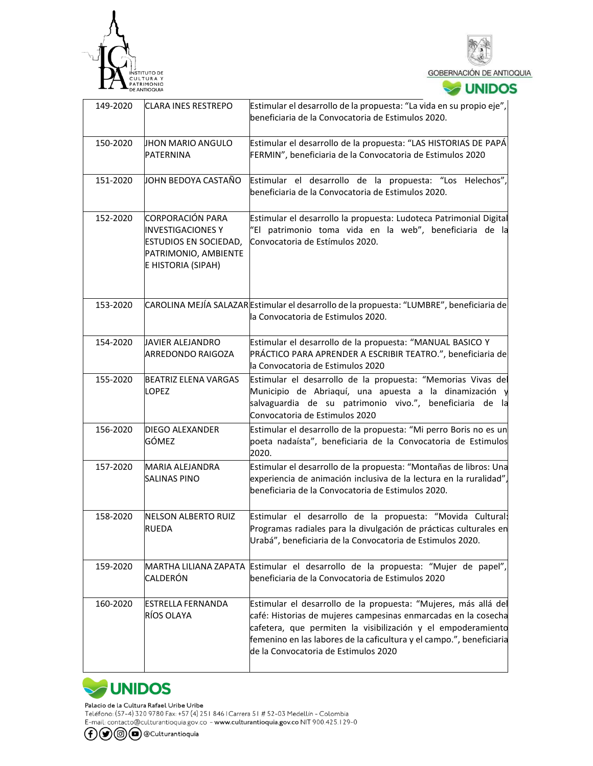



| 149-2020 | <b>CLARA INES RESTREPO</b>                                                                                                        | Estimular el desarrollo de la propuesta: "La vida en su propio eje",<br>beneficiaria de la Convocatoria de Estimulos 2020.                                                                                                                                                                                        |
|----------|-----------------------------------------------------------------------------------------------------------------------------------|-------------------------------------------------------------------------------------------------------------------------------------------------------------------------------------------------------------------------------------------------------------------------------------------------------------------|
| 150-2020 | JHON MARIO ANGULO<br><b>PATERNINA</b>                                                                                             | Estimular el desarrollo de la propuesta: "LAS HISTORIAS DE PAPÁ<br>FERMIN", beneficiaria de la Convocatoria de Estimulos 2020                                                                                                                                                                                     |
| 151-2020 | JOHN BEDOYA CASTAÑO                                                                                                               | Estimular el desarrollo de la propuesta: "Los Helechos",<br>beneficiaria de la Convocatoria de Estimulos 2020.                                                                                                                                                                                                    |
| 152-2020 | <b>CORPORACIÓN PARA</b><br><b>INVESTIGACIONES Y</b><br><b>ESTUDIOS EN SOCIEDAD,</b><br>PATRIMONIO, AMBIENTE<br>E HISTORIA (SIPAH) | Estimular el desarrollo la propuesta: Ludoteca Patrimonial Digital<br>"El patrimonio toma vida en la web", beneficiaria de la<br>Convocatoria de Estímulos 2020.                                                                                                                                                  |
| 153-2020 |                                                                                                                                   | CAROLINA MEJÍA SALAZAR Estimular el desarrollo de la propuesta: "LUMBRE", beneficiaria de<br>la Convocatoria de Estimulos 2020.                                                                                                                                                                                   |
| 154-2020 | JAVIER ALEJANDRO<br>ARREDONDO RAIGOZA                                                                                             | Estimular el desarrollo de la propuesta: "MANUAL BASICO Y<br>PRÁCTICO PARA APRENDER A ESCRIBIR TEATRO.", beneficiaria de<br>la Convocatoria de Estimulos 2020                                                                                                                                                     |
| 155-2020 | <b>BEATRIZ ELENA VARGAS</b><br><b>LOPEZ</b>                                                                                       | Estimular el desarrollo de la propuesta: "Memorias Vivas del<br>Municipio de Abriaquí, una apuesta a la dinamización y<br>salvaguardia de su patrimonio vivo.", beneficiaria de la<br>Convocatoria de Estimulos 2020                                                                                              |
| 156-2020 | <b>DIEGO ALEXANDER</b><br>GÓMEZ                                                                                                   | Estimular el desarrollo de la propuesta: "Mi perro Boris no es un<br>poeta nadaísta", beneficiaria de la Convocatoria de Estimulos<br>2020.                                                                                                                                                                       |
| 157-2020 | MARIA ALEJANDRA<br><b>SALINAS PINO</b>                                                                                            | Estimular el desarrollo de la propuesta: "Montañas de libros: Una<br>experiencia de animación inclusiva de la lectura en la ruralidad",<br>beneficiaria de la Convocatoria de Estimulos 2020.                                                                                                                     |
| 158-2020 | NELSON ALBERTO RUIZ<br>RUEDA                                                                                                      | Estimular el desarrollo de la propuesta: "Movida Cultural:<br>Programas radiales para la divulgación de prácticas culturales en<br>Urabá", beneficiaria de la Convocatoria de Estimulos 2020.                                                                                                                     |
| 159-2020 | CALDERÓN                                                                                                                          | MARTHA LILIANA ZAPATA Estimular el desarrollo de la propuesta: "Mujer de papel",<br>beneficiaria de la Convocatoria de Estimulos 2020                                                                                                                                                                             |
| 160-2020 | <b>ESTRELLA FERNANDA</b><br>RÍOS OLAYA                                                                                            | Estimular el desarrollo de la propuesta: "Mujeres, más allá del<br>café: Historias de mujeres campesinas enmarcadas en la cosecha<br>cafetera, que permiten la visibilización y el empoderamiento<br>femenino en las labores de la caficultura y el campo.", beneficiaria<br>de la Convocatoria de Estimulos 2020 |



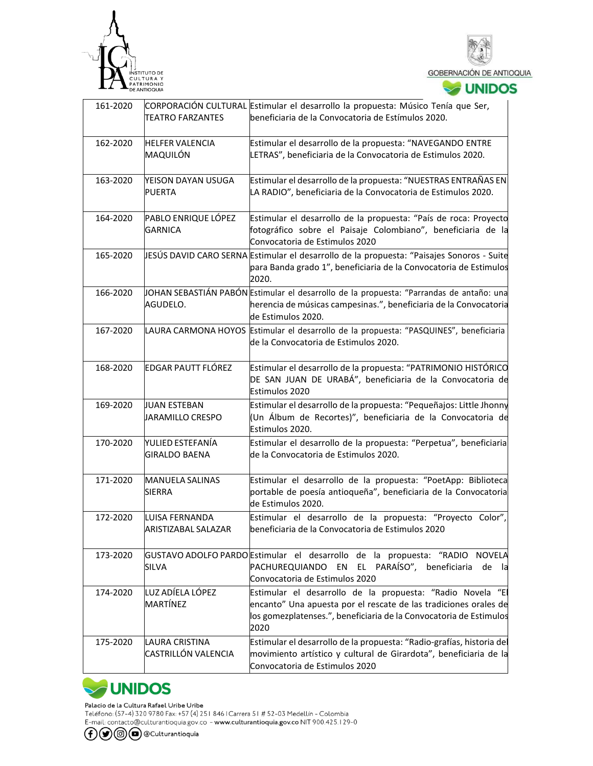



| 161-2020 | <b>TEATRO FARZANTES</b>                  | CORPORACIÓN CULTURAL Estimular el desarrollo la propuesta: Músico Tenía que Ser,<br>beneficiaria de la Convocatoria de Estímulos 2020.                                                                       |
|----------|------------------------------------------|--------------------------------------------------------------------------------------------------------------------------------------------------------------------------------------------------------------|
| 162-2020 | <b>HELFER VALENCIA</b><br>MAQUILÓN       | Estimular el desarrollo de la propuesta: "NAVEGANDO ENTRE<br>LETRAS", beneficiaria de la Convocatoria de Estimulos 2020.                                                                                     |
| 163-2020 | YEISON DAYAN USUGA<br>PUERTA             | Estimular el desarrollo de la propuesta: "NUESTRAS ENTRAÑAS EN<br>LA RADIO", beneficiaria de la Convocatoria de Estimulos 2020.                                                                              |
| 164-2020 | PABLO ENRIQUE LÓPEZ<br><b>GARNICA</b>    | Estimular el desarrollo de la propuesta: "País de roca: Proyecto<br>fotográfico sobre el Paisaje Colombiano", beneficiaria de la<br>Convocatoria de Estimulos 2020                                           |
| 165-2020 |                                          | JESÚS DAVID CARO SERNA Estimular el desarrollo de la propuesta: "Paisajes Sonoros - Suite<br>para Banda grado 1", beneficiaria de la Convocatoria de Estimulos<br>2020.                                      |
| 166-2020 | AGUDELO.                                 | JOHAN SEBASTIÁN PABÓN Estimular el desarrollo de la propuesta: "Parrandas de antaño: una<br>herencia de músicas campesinas.", beneficiaria de la Convocatoria<br>de Estimulos 2020.                          |
| 167-2020 |                                          | LAURA CARMONA HOYOS Estimular el desarrollo de la propuesta: "PASQUINES", beneficiaria<br>de la Convocatoria de Estimulos 2020.                                                                              |
| 168-2020 | EDGAR PAUTT FLÓREZ                       | Estimular el desarrollo de la propuesta: "PATRIMONIO HISTÓRICO<br>DE SAN JUAN DE URABÁ", beneficiaria de la Convocatoria de<br>Estimulos 2020                                                                |
| 169-2020 | <b>JUAN ESTEBAN</b><br>JARAMILLO CRESPO  | Estimular el desarrollo de la propuesta: "Pequeñajos: Little Jhonny<br>(Un Álbum de Recortes)", beneficiaria de la Convocatoria de<br>Estimulos 2020.                                                        |
| 170-2020 | YULIED ESTEFANÍA<br><b>GIRALDO BAENA</b> | Estimular el desarrollo de la propuesta: "Perpetua", beneficiaria<br>de la Convocatoria de Estimulos 2020.                                                                                                   |
| 171-2020 | <b>MANUELA SALINAS</b><br><b>SIERRA</b>  | Estimular el desarrollo de la propuesta: "PoetApp: Biblioteca<br>portable de poesía antioqueña", beneficiaria de la Convocatoria<br>de Estimulos 2020.                                                       |
| 172-2020 | LUISA FERNANDA<br>ARISTIZABAL SALAZAR    | Estimular el desarrollo de la propuesta: "Proyecto Color",<br>beneficiaria de la Convocatoria de Estimulos 2020                                                                                              |
| 173-2020 | SILVA                                    | GUSTAVO ADOLFO PARDO Estimular el desarrollo de la propuesta: "RADIO NOVELA<br>PARAÍSO",<br>PACHUREQUIANDO EN<br>EL.<br>beneficiaria<br>de la<br>Convocatoria de Estimulos 2020                              |
| 174-2020 | LUZ ADÍELA LÓPEZ<br>MARTÍNEZ             | Estimular el desarrollo de la propuesta: "Radio Novela "El<br>encanto" Una apuesta por el rescate de las tradiciones orales de<br>los gomezplatenses.", beneficiaria de la Convocatoria de Estimulos<br>2020 |
| 175-2020 | LAURA CRISTINA<br>CASTRILLÓN VALENCIA    | Estimular el desarrollo de la propuesta: "Radio-grafías, historia del<br>movimiento artístico y cultural de Girardota", beneficiaria de la<br>Convocatoria de Estimulos 2020                                 |



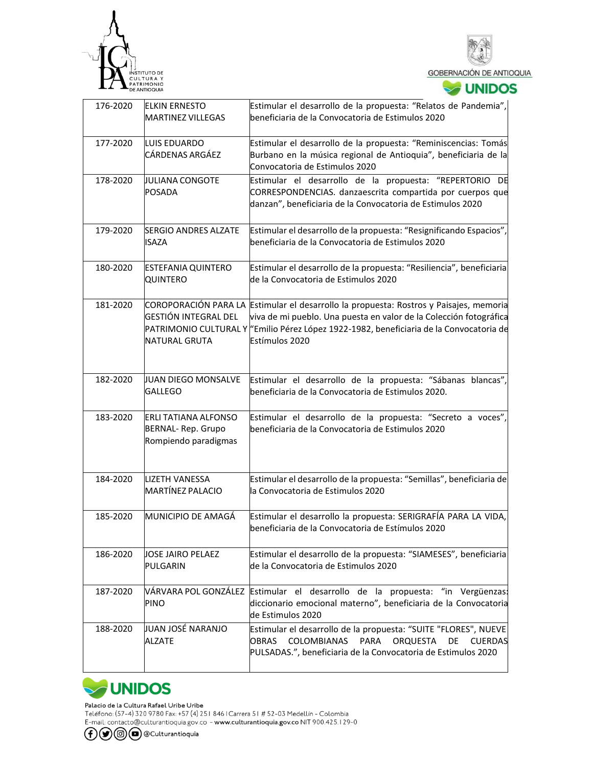



**V**UNIDOS

| 176-2020 | <b>ELKIN ERNESTO</b><br><b>MARTINEZ VILLEGAS</b>                                | Estimular el desarrollo de la propuesta: "Relatos de Pandemia",<br>beneficiaria de la Convocatoria de Estimulos 2020                                                                                                                                                      |  |
|----------|---------------------------------------------------------------------------------|---------------------------------------------------------------------------------------------------------------------------------------------------------------------------------------------------------------------------------------------------------------------------|--|
| 177-2020 | LUIS EDUARDO<br>CÁRDENAS ARGÁEZ                                                 | Estimular el desarrollo de la propuesta: "Reminiscencias: Tomás<br>Burbano en la música regional de Antioquia", beneficiaria de la<br>Convocatoria de Estimulos 2020                                                                                                      |  |
| 178-2020 | JULIANA CONGOTE<br>POSADA                                                       | Estimular el desarrollo de la propuesta: "REPERTORIO DE<br>CORRESPONDENCIAS. danzaescrita compartida por cuerpos que<br>danzan", beneficiaria de la Convocatoria de Estimulos 2020                                                                                        |  |
| 179-2020 | <b>SERGIO ANDRES ALZATE</b><br><b>ISAZA</b>                                     | Estimular el desarrollo de la propuesta: "Resignificando Espacios",<br>beneficiaria de la Convocatoria de Estimulos 2020                                                                                                                                                  |  |
| 180-2020 | ESTEFANIA QUINTERO<br>QUINTERO                                                  | Estimular el desarrollo de la propuesta: "Resiliencia", beneficiaria<br>de la Convocatoria de Estimulos 2020                                                                                                                                                              |  |
| 181-2020 | <b>GESTIÓN INTEGRAL DEL</b><br><b>NATURAL GRUTA</b>                             | COROPORACIÓN PARA LA Estimular el desarrollo la propuesta: Rostros y Paisajes, memoria<br>viva de mi pueblo. Una puesta en valor de la Colección fotográfica<br>PATRIMONIO CULTURAL Y "Emilio Pérez López 1922-1982, beneficiaria de la Convocatoria de<br>Estímulos 2020 |  |
| 182-2020 | JUAN DIEGO MONSALVE<br><b>GALLEGO</b>                                           | Estimular el desarrollo de la propuesta: "Sábanas blancas",<br>beneficiaria de la Convocatoria de Estimulos 2020.                                                                                                                                                         |  |
| 183-2020 | <b>ERLI TATIANA ALFONSO</b><br><b>BERNAL-Rep. Grupo</b><br>Rompiendo paradigmas | Estimular el desarrollo de la propuesta: "Secreto a voces",<br>beneficiaria de la Convocatoria de Estimulos 2020                                                                                                                                                          |  |
| 184-2020 | <b>LIZETH VANESSA</b><br><b>MARTÍNEZ PALACIO</b>                                | Estimular el desarrollo de la propuesta: "Semillas", beneficiaria de<br>la Convocatoria de Estimulos 2020                                                                                                                                                                 |  |
| 185-2020 | MUNICIPIO DE AMAGÁ                                                              | Estimular el desarrollo la propuesta: SERIGRAFÍA PARA LA VIDA,<br>beneficiaria de la Convocatoria de Estímulos 2020                                                                                                                                                       |  |
| 186-2020 | JOSE JAIRO PELAEZ<br><b>PULGARIN</b>                                            | Estimular el desarrollo de la propuesta: "SIAMESES", beneficiaria<br>de la Convocatoria de Estimulos 2020                                                                                                                                                                 |  |
| 187-2020 | VÁRVARA POL GONZÁLEZ<br><b>PINO</b>                                             | Estimular el desarrollo de la propuesta: "in Vergüenzas:<br>diccionario emocional materno", beneficiaria de la Convocatoria<br>de Estimulos 2020                                                                                                                          |  |
| 188-2020 | JUAN JOSÉ NARANJO<br><b>ALZATE</b>                                              | Estimular el desarrollo de la propuesta: "SUITE "FLORES", NUEVE<br><b>COLOMBIANAS</b><br><b>OBRAS</b><br><b>PARA</b><br>ORQUESTA<br>DE<br><b>CUERDAS</b><br>PULSADAS.", beneficiaria de la Convocatoria de Estimulos 2020                                                 |  |



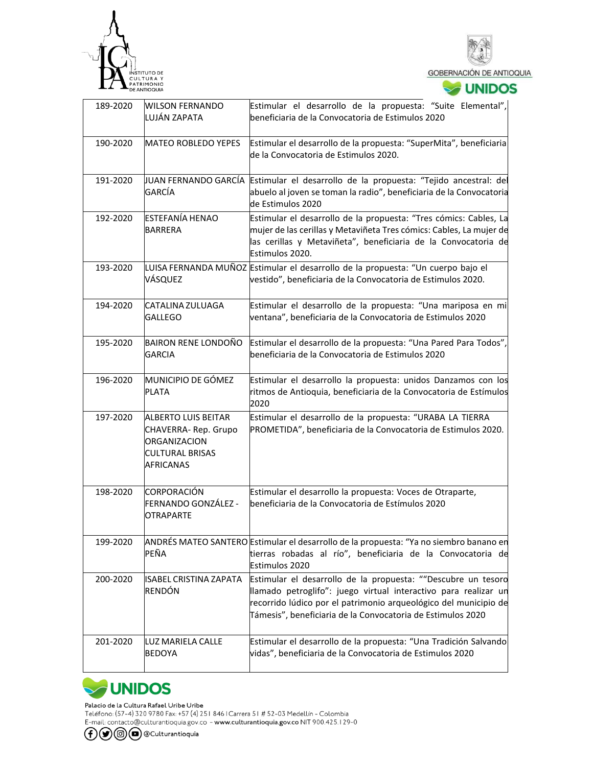



| 189-2020 | <b>WILSON FERNANDO</b><br>LUJÁN ZAPATA                                                                          | Estimular el desarrollo de la propuesta: "Suite Elemental",<br>lbeneficiaria de la Convocatoria de Estimulos 2020                                                                                                                                                   |
|----------|-----------------------------------------------------------------------------------------------------------------|---------------------------------------------------------------------------------------------------------------------------------------------------------------------------------------------------------------------------------------------------------------------|
| 190-2020 | MATEO ROBLEDO YEPES                                                                                             | Estimular el desarrollo de la propuesta: "SuperMita", beneficiaria<br>de la Convocatoria de Estimulos 2020.                                                                                                                                                         |
| 191-2020 | GARCÍA                                                                                                          | JUAN FERNANDO GARCÍA Estimular el desarrollo de la propuesta: "Tejido ancestral: del<br>abuelo al joven se toman la radio", beneficiaria de la Convocatoria<br>de Estimulos 2020                                                                                    |
| 192-2020 | <b>ESTEFANÍA HENAO</b><br>BARRERA                                                                               | Estimular el desarrollo de la propuesta: "Tres cómics: Cables, La<br>mujer de las cerillas y Metaviñeta Tres cómics: Cables, La mujer de<br>las cerillas y Metaviñeta", beneficiaria de la Convocatoria de<br>Estimulos 2020.                                       |
| 193-2020 | VÁSQUEZ                                                                                                         | LUISA FERNANDA MUÑOZ Estimular el desarrollo de la propuesta: "Un cuerpo bajo el<br>vestido", beneficiaria de la Convocatoria de Estimulos 2020.                                                                                                                    |
| 194-2020 | CATALINA ZULUAGA<br>GALLEGO                                                                                     | Estimular el desarrollo de la propuesta: "Una mariposa en mi<br>ventana", beneficiaria de la Convocatoria de Estimulos 2020                                                                                                                                         |
| 195-2020 | <b>BAIRON RENE LONDOÑO</b><br>GARCIA                                                                            | Estimular el desarrollo de la propuesta: "Una Pared Para Todos",<br>beneficiaria de la Convocatoria de Estimulos 2020                                                                                                                                               |
| 196-2020 | MUNICIPIO DE GÓMEZ<br>PLATA                                                                                     | Estimular el desarrollo la propuesta: unidos Danzamos con los<br>ritmos de Antioquia, beneficiaria de la Convocatoria de Estímulos<br>2020                                                                                                                          |
| 197-2020 | <b>ALBERTO LUIS BEITAR</b><br>CHAVERRA-Rep. Grupo<br>ORGANIZACION<br><b>CULTURAL BRISAS</b><br><b>AFRICANAS</b> | Estimular el desarrollo de la propuesta: "URABA LA TIERRA<br>PROMETIDA", beneficiaria de la Convocatoria de Estimulos 2020.                                                                                                                                         |
| 198-2020 | CORPORACIÓN<br>FERNANDO GONZÁLEZ -<br><b>OTRAPARTE</b>                                                          | Estimular el desarrollo la propuesta: Voces de Otraparte,<br>beneficiaria de la Convocatoria de Estímulos 2020                                                                                                                                                      |
| 199-2020 | PEÑA                                                                                                            | ANDRÉS MATEO SANTERO Estimular el desarrollo de la propuesta: "Ya no siembro banano en<br>tierras robadas al río", beneficiaria de la Convocatoria de<br>Estimulos 2020                                                                                             |
| 200-2020 | <b>ISABEL CRISTINA ZAPATA</b><br>RENDÓN                                                                         | Estimular el desarrollo de la propuesta: ""Descubre un tesoro<br>llamado petroglifo": juego virtual interactivo para realizar un<br>recorrido lúdico por el patrimonio arqueológico del municipio de<br>Támesis", beneficiaria de la Convocatoria de Estimulos 2020 |
| 201-2020 | LUZ MARIELA CALLE<br>BEDOYA                                                                                     | Estimular el desarrollo de la propuesta: "Una Tradición Salvando<br>vidas", beneficiaria de la Convocatoria de Estimulos 2020                                                                                                                                       |



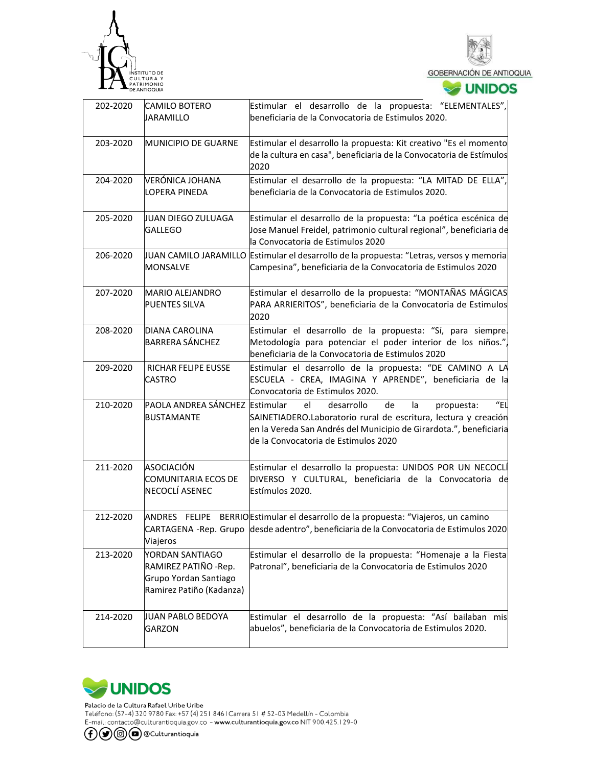



| <b>JUNIDOS</b> |  |  |  |
|----------------|--|--|--|
|                |  |  |  |

| 202-2020 | CAMILO BOTERO<br>JARAMILLO                                                                    | Estimular el desarrollo de la propuesta: "ELEMENTALES",<br>beneficiaria de la Convocatoria de Estimulos 2020.                                                                                                                                       |  |
|----------|-----------------------------------------------------------------------------------------------|-----------------------------------------------------------------------------------------------------------------------------------------------------------------------------------------------------------------------------------------------------|--|
| 203-2020 | MUNICIPIO DE GUARNE                                                                           | Estimular el desarrollo la propuesta: Kit creativo "Es el momento<br>de la cultura en casa", beneficiaria de la Convocatoria de Estímulos<br>2020                                                                                                   |  |
| 204-2020 | <b>VERÓNICA JOHANA</b><br><b>LOPERA PINEDA</b>                                                | Estimular el desarrollo de la propuesta: "LA MITAD DE ELLA",<br>beneficiaria de la Convocatoria de Estimulos 2020.                                                                                                                                  |  |
| 205-2020 | JUAN DIEGO ZULUAGA<br>GALLEGO                                                                 | Estimular el desarrollo de la propuesta: "La poética escénica de<br>Jose Manuel Freidel, patrimonio cultural regional", beneficiaria de<br>la Convocatoria de Estimulos 2020                                                                        |  |
| 206-2020 | <b>MONSALVE</b>                                                                               | JUAN CAMILO JARAMILLO Estimular el desarrollo de la propuesta: "Letras, versos y memoria<br>Campesina", beneficiaria de la Convocatoria de Estimulos 2020                                                                                           |  |
| 207-2020 | <b>MARIO ALEJANDRO</b><br>PUENTES SILVA                                                       | Estimular el desarrollo de la propuesta: "MONTAÑAS MÁGICAS<br>PARA ARRIERITOS", beneficiaria de la Convocatoria de Estimulos<br>2020                                                                                                                |  |
| 208-2020 | <b>DIANA CAROLINA</b><br><b>BARRERA SÁNCHEZ</b>                                               | Estimular el desarrollo de la propuesta: "Sí, para siempre.<br>Metodología para potenciar el poder interior de los niños.",<br>beneficiaria de la Convocatoria de Estimulos 2020                                                                    |  |
| 209-2020 | RICHAR FELIPE EUSSE<br><b>CASTRO</b>                                                          | Estimular el desarrollo de la propuesta: "DE CAMINO A LA<br>ESCUELA - CREA, IMAGINA Y APRENDE", beneficiaria de la<br>Convocatoria de Estimulos 2020.                                                                                               |  |
| 210-2020 | PAOLA ANDREA SÁNCHEZ Estimular<br><b>BUSTAMANTE</b>                                           | $^{\prime\prime}$ FI<br>desarrollo<br>el<br>de<br>la<br>propuesta:<br>SAINETIADERO.Laboratorio rural de escritura, lectura y creación<br>en la Vereda San Andrés del Municipio de Girardota.", beneficiaria<br>de la Convocatoria de Estimulos 2020 |  |
| 211-2020 | ASOCIACIÓN<br><b>COMUNITARIA ECOS DE</b><br>NECOCLÍ ASENEC                                    | Estimular el desarrollo la propuesta: UNIDOS POR UN NECOCLÍ<br>DIVERSO Y CULTURAL, beneficiaria de la Convocatoria de<br>Estímulos 2020.                                                                                                            |  |
| 212-2020 | Viajeros                                                                                      | ANDRES FELIPE BERRIO Estimular el desarrollo de la propuesta: "Viajeros, un camino<br>CARTAGENA -Rep. Grupo desde adentro", beneficiaria de la Convocatoria de Estimulos 2020                                                                       |  |
| 213-2020 | YORDAN SANTIAGO<br>RAMIREZ PATIÑO - Rep.<br>Grupo Yordan Santiago<br>Ramirez Patiño (Kadanza) | Estimular el desarrollo de la propuesta: "Homenaje a la Fiesta<br>Patronal", beneficiaria de la Convocatoria de Estimulos 2020                                                                                                                      |  |
| 214-2020 | JUAN PABLO BEDOYA<br><b>GARZON</b>                                                            | Estimular el desarrollo de la propuesta: "Así bailaban mis<br>abuelos", beneficiaria de la Convocatoria de Estimulos 2020.                                                                                                                          |  |



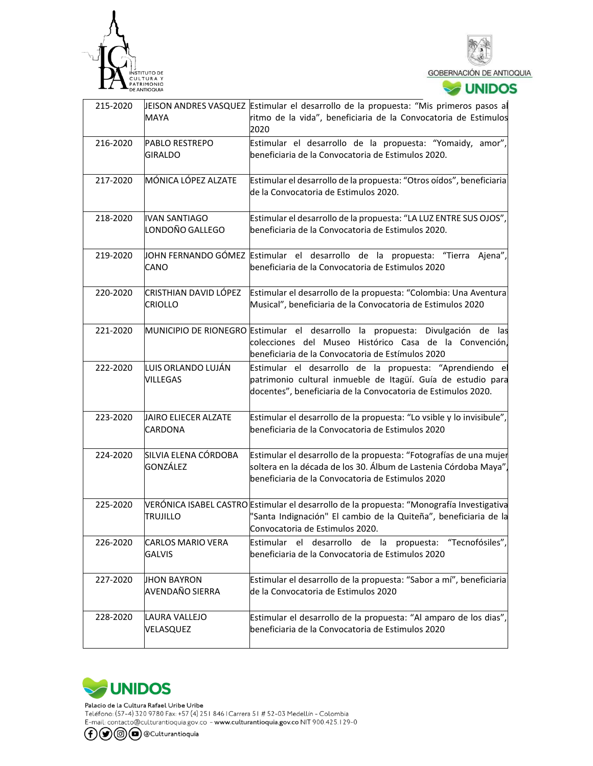



## **V**UNIDOS

| 215-2020 | MAYA                                      | EISON ANDRES VASQUEZ Estimular el desarrollo de la propuesta: "Mis primeros pasos al<br>ritmo de la vida", beneficiaria de la Convocatoria de Estimulos<br>2020                                  |  |
|----------|-------------------------------------------|--------------------------------------------------------------------------------------------------------------------------------------------------------------------------------------------------|--|
| 216-2020 | <b>PABLO RESTREPO</b><br><b>GIRALDO</b>   | Estimular el desarrollo de la propuesta: "Yomaidy, amor",<br>beneficiaria de la Convocatoria de Estimulos 2020.                                                                                  |  |
| 217-2020 | MÓNICA LÓPEZ ALZATE                       | Estimular el desarrollo de la propuesta: "Otros oídos", beneficiaria<br>de la Convocatoria de Estimulos 2020.                                                                                    |  |
| 218-2020 | <b>IVAN SANTIAGO</b><br>LONDOÑO GALLEGO   | Estimular el desarrollo de la propuesta: "LA LUZ ENTRE SUS OJOS",<br>beneficiaria de la Convocatoria de Estimulos 2020.                                                                          |  |
| 219-2020 | CANO                                      | JOHN FERNANDO GÓMEZ Estimular el desarrollo de la propuesta: "Tierra Ajena",<br>beneficiaria de la Convocatoria de Estimulos 2020                                                                |  |
| 220-2020 | CRISTHIAN DAVID LÓPEZ<br><b>CRIOLLO</b>   | Estimular el desarrollo de la propuesta: "Colombia: Una Aventura<br>Musical", beneficiaria de la Convocatoria de Estimulos 2020                                                                  |  |
| 221-2020 |                                           | MUNICIPIO DE RIONEGRO Estimular el desarrollo la propuesta: Divulgación de las<br>colecciones del Museo Histórico Casa de la Convención,<br>beneficiaria de la Convocatoria de Estímulos 2020    |  |
| 222-2020 | LUIS ORLANDO LUJÁN<br><b>VILLEGAS</b>     | Estimular el desarrollo de la propuesta: "Aprendiendo el<br>patrimonio cultural inmueble de Itagüí. Guía de estudio para<br>docentes", beneficiaria de la Convocatoria de Estimulos 2020.        |  |
| 223-2020 | JAIRO ELIECER ALZATE<br>CARDONA           | Estimular el desarrollo de la propuesta: "Lo vsible y lo invisibule",<br>beneficiaria de la Convocatoria de Estimulos 2020                                                                       |  |
| 224-2020 | SILVIA ELENA CÓRDOBA<br>GONZÁLEZ          | Estimular el desarrollo de la propuesta: "Fotografías de una mujer<br>soltera en la década de los 30. Álbum de Lastenia Córdoba Maya",<br>beneficiaria de la Convocatoria de Estimulos 2020      |  |
| 225-2020 | <b>TRUJILLO</b>                           | VERÓNICA ISABEL CASTRO Estimular el desarrollo de la propuesta: "Monografía Investigativa<br>"Santa Indignación" El cambio de la Quiteña", beneficiaria de la<br>Convocatoria de Estimulos 2020. |  |
| 226-2020 | <b>CARLOS MARIO VERA</b><br><b>GALVIS</b> | Estimular el desarrollo de la propuesta: "Tecnofósiles",<br>beneficiaria de la Convocatoria de Estimulos 2020                                                                                    |  |
| 227-2020 | <b>JHON BAYRON</b><br>AVENDAÑO SIERRA     | Estimular el desarrollo de la propuesta: "Sabor a mí", beneficiaria<br>de la Convocatoria de Estimulos 2020                                                                                      |  |
| 228-2020 | LAURA VALLEJO<br>VELASQUEZ                | Estimular el desarrollo de la propuesta: "Al amparo de los dias",<br>beneficiaria de la Convocatoria de Estimulos 2020                                                                           |  |



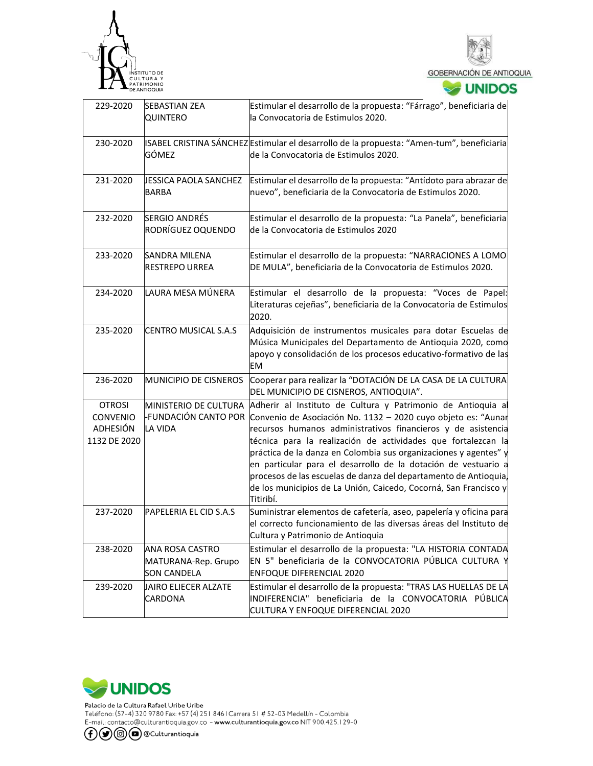



| 229-2020                                                     | <b>SEBASTIAN ZEA</b><br>QUINTERO                             | Estimular el desarrollo de la propuesta: "Fárrago", beneficiaria de<br>la Convocatoria de Estimulos 2020.                                                                                                                                                                                                                                                                                                                                                                                                                                                                      |
|--------------------------------------------------------------|--------------------------------------------------------------|--------------------------------------------------------------------------------------------------------------------------------------------------------------------------------------------------------------------------------------------------------------------------------------------------------------------------------------------------------------------------------------------------------------------------------------------------------------------------------------------------------------------------------------------------------------------------------|
| 230-2020                                                     | GÓMEZ                                                        | ISABEL CRISTINA SÁNCHEZ Estimular el desarrollo de la propuesta: "Amen-tum", beneficiaria<br>de la Convocatoria de Estimulos 2020.                                                                                                                                                                                                                                                                                                                                                                                                                                             |
| 231-2020                                                     | JESSICA PAOLA SANCHEZ<br>BARBA                               | Estimular el desarrollo de la propuesta: "Antídoto para abrazar de<br>nuevo", beneficiaria de la Convocatoria de Estimulos 2020.                                                                                                                                                                                                                                                                                                                                                                                                                                               |
| 232-2020                                                     | <b>SERGIO ANDRÉS</b><br>RODRÍGUEZ OQUENDO                    | Estimular el desarrollo de la propuesta: "La Panela", beneficiaria<br>de la Convocatoria de Estimulos 2020                                                                                                                                                                                                                                                                                                                                                                                                                                                                     |
| 233-2020                                                     | SANDRA MILENA<br><b>RESTREPO URREA</b>                       | Estimular el desarrollo de la propuesta: "NARRACIONES A LOMO<br>DE MULA", beneficiaria de la Convocatoria de Estimulos 2020.                                                                                                                                                                                                                                                                                                                                                                                                                                                   |
| 234-2020                                                     | LAURA MESA MÚNERA                                            | Estimular el desarrollo de la propuesta: "Voces de Papel:<br>Literaturas cejeñas", beneficiaria de la Convocatoria de Estimulos<br>2020.                                                                                                                                                                                                                                                                                                                                                                                                                                       |
| 235-2020                                                     | <b>CENTRO MUSICAL S.A.S</b>                                  | Adquisición de instrumentos musicales para dotar Escuelas de<br>Música Municipales del Departamento de Antioquia 2020, como<br>apoyo y consolidación de los procesos educativo-formativo de las<br>EМ                                                                                                                                                                                                                                                                                                                                                                          |
| 236-2020                                                     | <b>MUNICIPIO DE CISNEROS</b>                                 | Cooperar para realizar la "DOTACIÓN DE LA CASA DE LA CULTURA<br>DEL MUNICIPIO DE CISNEROS, ANTIOQUIA".                                                                                                                                                                                                                                                                                                                                                                                                                                                                         |
| <b>OTROSI</b><br>CONVENIO<br><b>ADHESIÓN</b><br>1132 DE 2020 | MINISTERIO DE CULTURA<br>LA VIDA                             | Adherir al Instituto de Cultura y Patrimonio de Antioquia al<br>-FUNDACIÓN CANTO POR Convenio de Asociación No. 1132 - 2020 cuyo objeto es: "Aunar<br>recursos humanos administrativos financieros y de asistencia<br>técnica para la realización de actividades que fortalezcan la<br>práctica de la danza en Colombia sus organizaciones y agentes" y<br>en particular para el desarrollo de la dotación de vestuario a<br>procesos de las escuelas de danza del departamento de Antioquia,<br>de los municipios de La Unión, Caicedo, Cocorná, San Francisco y<br>Titiribí. |
| 237-2020                                                     | PAPELERIA EL CID S.A.S                                       | Suministrar elementos de cafetería, aseo, papelería y oficina para<br>el correcto funcionamiento de las diversas áreas del Instituto de<br>Cultura y Patrimonio de Antioquia                                                                                                                                                                                                                                                                                                                                                                                                   |
| 238-2020                                                     | ANA ROSA CASTRO<br>MATURANA-Rep. Grupo<br><b>SON CANDELA</b> | Estimular el desarrollo de la propuesta: "LA HISTORIA CONTADA<br>EN 5" beneficiaria de la CONVOCATORIA PÚBLICA CULTURA Y<br><b>ENFOQUE DIFERENCIAL 2020</b>                                                                                                                                                                                                                                                                                                                                                                                                                    |
| 239-2020                                                     | JAIRO ELIECER ALZATE<br>CARDONA                              | Estimular el desarrollo de la propuesta: "TRAS LAS HUELLAS DE LA<br>INDIFERENCIA" beneficiaria de la CONVOCATORIA PÚBLICA<br>CULTURA Y ENFOQUE DIFERENCIAL 2020                                                                                                                                                                                                                                                                                                                                                                                                                |

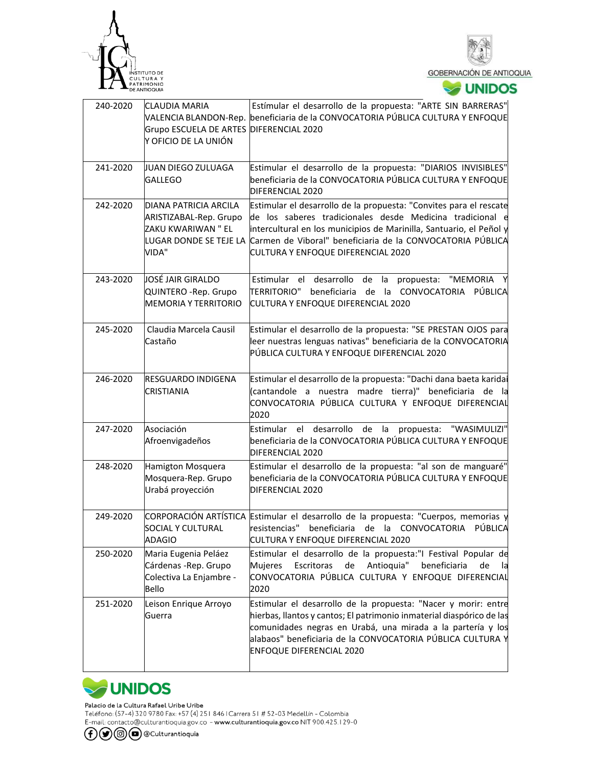



| 240-2020 | CLAUDIA MARIA<br>Grupo ESCUELA DE ARTES DIFERENCIAL 2020<br>Y OFICIO DE LA UNIÓN  | Estímular el desarrollo de la propuesta: "ARTE SIN BARRERAS"<br>VALENCIA BLANDON-Rep. beneficiaria de la CONVOCATORIA PÚBLICA CULTURA Y ENFOQUE                                                                                                                                                                                   |  |  |  |
|----------|-----------------------------------------------------------------------------------|-----------------------------------------------------------------------------------------------------------------------------------------------------------------------------------------------------------------------------------------------------------------------------------------------------------------------------------|--|--|--|
| 241-2020 | JUAN DIEGO ZULUAGA<br><b>GALLEGO</b>                                              | Estimular el desarrollo de la propuesta: "DIARIOS INVISIBLES"<br>beneficiaria de la CONVOCATORIA PÚBLICA CULTURA Y ENFOQUE<br>DIFERENCIAL 2020                                                                                                                                                                                    |  |  |  |
| 242-2020 | DIANA PATRICIA ARCILA<br>ARISTIZABAL-Rep. Grupo<br>ZAKU KWARIWAN " EL<br>VIDA"    | Estimular el desarrollo de la propuesta: "Convites para el rescate<br>de los saberes tradicionales desde Medicina tradicional e<br>intercultural en los municipios de Marinilla, Santuario, el Peñol y<br>LUGAR DONDE SE TEJE LA Carmen de Viboral" beneficiaria de la CONVOCATORIA PÚBLICA<br>CULTURA Y ENFOQUE DIFERENCIAL 2020 |  |  |  |
| 243-2020 | JOSÉ JAIR GIRALDO<br>QUINTERO - Rep. Grupo<br><b>MEMORIA Y TERRITORIO</b>         | Estimular el desarrollo de la<br>propuesta: "MEMORIA<br>beneficiaria de la CONVOCATORIA PÚBLICA<br>TERRITORIO"<br>CULTURA Y ENFOQUE DIFERENCIAL 2020                                                                                                                                                                              |  |  |  |
| 245-2020 | Claudia Marcela Causil<br>Castaño                                                 | Estimular el desarrollo de la propuesta: "SE PRESTAN OJOS para<br>leer nuestras lenguas nativas" beneficiaria de la CONVOCATORIA<br>PÚBLICA CULTURA Y ENFOQUE DIFERENCIAL 2020                                                                                                                                                    |  |  |  |
| 246-2020 | <b>RESGUARDO INDIGENA</b><br><b>CRISTIANIA</b>                                    | Estimular el desarrollo de la propuesta: "Dachi dana baeta karidai<br>(cantandole a nuestra madre tierra)" beneficiaria de la<br>CONVOCATORIA PÚBLICA CULTURA Y ENFOQUE DIFERENCIAL<br>2020                                                                                                                                       |  |  |  |
| 247-2020 | Asociación<br>Afroenvigadeños                                                     | Estimular el desarrollo<br>de la<br>propuesta:<br>"WASIMULIZI"<br>beneficiaria de la CONVOCATORIA PÚBLICA CULTURA Y ENFOQUE<br>DIFERENCIAL 2020                                                                                                                                                                                   |  |  |  |
| 248-2020 | Hamigton Mosquera<br>Mosquera-Rep. Grupo<br>Urabá proyección                      | Estimular el desarrollo de la propuesta: "al son de manguaré"<br>beneficiaria de la CONVOCATORIA PÚBLICA CULTURA Y ENFOQUE<br>DIFERENCIAL 2020                                                                                                                                                                                    |  |  |  |
| 249-2020 | SOCIAL Y CULTURAL<br><b>ADAGIO</b>                                                | CORPORACIÓN ARTÍSTICA Estimular el desarrollo de la propuesta: "Cuerpos, memorias y<br>resistencias"<br>beneficiaria de la CONVOCATORIA<br>PUBLICA<br>CULTURA Y ENFOQUE DIFERENCIAL 2020                                                                                                                                          |  |  |  |
| 250-2020 | Maria Eugenia Peláez<br>Cárdenas - Rep. Grupo<br>Colectiva La Enjambre -<br>Bello | Estimular el desarrollo de la propuesta:"I Festival Popular de<br>Escritoras<br>de<br>Antioquia"<br>beneficiaria<br><b>Mujeres</b><br>de<br>la<br>CONVOCATORIA PÚBLICA CULTURA Y ENFOQUE DIFERENCIAL<br>2020                                                                                                                      |  |  |  |
| 251-2020 | Leison Enrique Arroyo<br>Guerra                                                   | Estimular el desarrollo de la propuesta: "Nacer y morir: entre<br>hierbas, llantos y cantos; El patrimonio inmaterial diaspórico de las<br>comunidades negras en Urabá, una mirada a la partería y los<br>alabaos" beneficiaria de la CONVOCATORIA PÚBLICA CULTURA Y<br><b>ENFOQUE DIFERENCIAL 2020</b>                           |  |  |  |



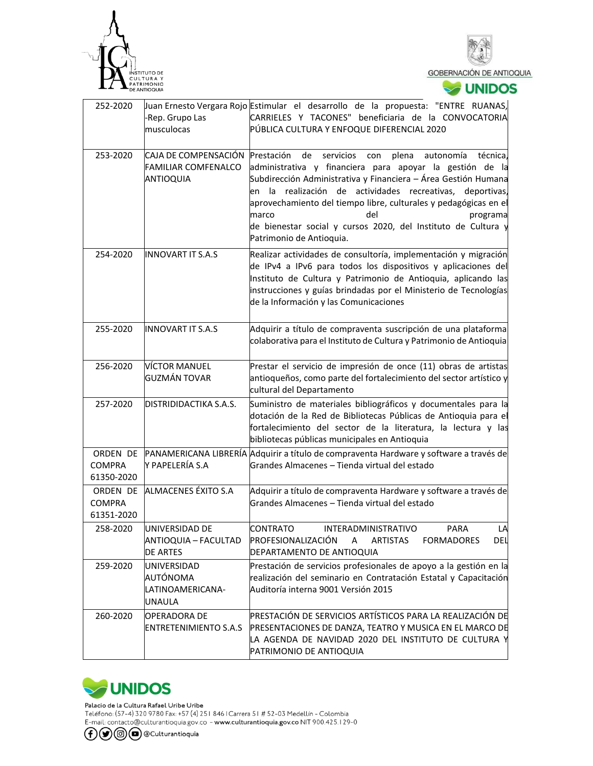



| 252-2020                                |                                                                        | Juan Ernesto Vergara Rojo Estimular el desarrollo de la propuesta: "ENTRE RUANAS,                                                                                                                                                                                                                                                                                                                                                                              |
|-----------------------------------------|------------------------------------------------------------------------|----------------------------------------------------------------------------------------------------------------------------------------------------------------------------------------------------------------------------------------------------------------------------------------------------------------------------------------------------------------------------------------------------------------------------------------------------------------|
|                                         | -Rep. Grupo Las<br>musculocas                                          | CARRIELES Y TACONES" beneficiaria de la CONVOCATORIA<br>PÚBLICA CULTURA Y ENFOQUE DIFERENCIAL 2020                                                                                                                                                                                                                                                                                                                                                             |
| 253-2020                                | CAJA DE COMPENSACIÓN<br><b>FAMILIAR COMFENALCO</b><br><b>ANTIOQUIA</b> | Prestación<br>de<br>técnica.<br>servicios<br>plena<br>autonomía<br>con<br>administrativa y financiera para apoyar la gestión de la<br>Subdirección Administrativa y Financiera - Área Gestión Humana<br>en la realización de actividades recreativas, deportivas,<br>aprovechamiento del tiempo libre, culturales y pedagógicas en el<br>marco<br>del<br>programa<br>de bienestar social y cursos 2020, del Instituto de Cultura y<br>Patrimonio de Antioquia. |
| 254-2020                                | <b>INNOVART IT S.A.S</b>                                               | Realizar actividades de consultoría, implementación y migración<br>de IPv4 a IPv6 para todos los dispositivos y aplicaciones del<br>Instituto de Cultura y Patrimonio de Antioquia, aplicando las<br>instrucciones y guías brindadas por el Ministerio de Tecnologías<br>de la Información y las Comunicaciones                                                                                                                                                |
| 255-2020                                | <b>INNOVART IT S.A.S</b>                                               | Adquirir a título de compraventa suscripción de una plataforma<br>colaborativa para el Instituto de Cultura y Patrimonio de Antioquia                                                                                                                                                                                                                                                                                                                          |
| 256-2020                                | VÍCTOR MANUEL<br><b>GUZMÁN TOVAR</b>                                   | Prestar el servicio de impresión de once (11) obras de artistas<br>antioqueños, como parte del fortalecimiento del sector artístico y<br>cultural del Departamento                                                                                                                                                                                                                                                                                             |
| 257-2020                                | DISTRIDIDACTIKA S.A.S.                                                 | Suministro de materiales bibliográficos y documentales para la<br>dotación de la Red de Bibliotecas Públicas de Antioquia para el<br>fortalecimiento del sector de la literatura, la lectura y las<br>bibliotecas públicas municipales en Antioquia                                                                                                                                                                                                            |
| ORDEN DE<br><b>COMPRA</b><br>61350-2020 | Y PAPELERÍA S.A                                                        | PANAMERICANA LIBRERÍA Adquirir a título de compraventa Hardware y software a través de<br>Grandes Almacenes - Tienda virtual del estado                                                                                                                                                                                                                                                                                                                        |
| ORDEN DE<br><b>COMPRA</b><br>61351-2020 | ALMACENES ÉXITO S.A                                                    | Adquirir a título de compraventa Hardware y software a través de<br>Grandes Almacenes - Tienda virtual del estado                                                                                                                                                                                                                                                                                                                                              |
| 258-2020                                | IUNIVERSIDAD DE<br>ANTIOQUIA - FACULTAD<br><b>DE ARTES</b>             | CONTRATO<br><b>INTERADMINISTRATIVO</b><br>PARA<br>LA<br>PROFESIONALIZACIÓN<br>A<br><b>ARTISTAS</b><br><b>FORMADORES</b><br>del<br>DEPARTAMENTO DE ANTIOQUIA                                                                                                                                                                                                                                                                                                    |
| 259-2020                                | UNIVERSIDAD<br><b>AUTÓNOMA</b><br>LATINOAMERICANA-<br><b>UNAULA</b>    | Prestación de servicios profesionales de apoyo a la gestión en la<br>realización del seminario en Contratación Estatal y Capacitación<br>Auditoría interna 9001 Versión 2015                                                                                                                                                                                                                                                                                   |
| 260-2020                                | <b>OPERADORA DE</b><br>ENTRETENIMIENTO S.A.S                           | PRESTACIÓN DE SERVICIOS ARTÍSTICOS PARA LA REALIZACIÓN DE<br>PRESENTACIONES DE DANZA, TEATRO Y MUSICA EN EL MARCO DE<br>LA AGENDA DE NAVIDAD 2020 DEL INSTITUTO DE CULTURA Y<br>PATRIMONIO DE ANTIOQUIA                                                                                                                                                                                                                                                        |